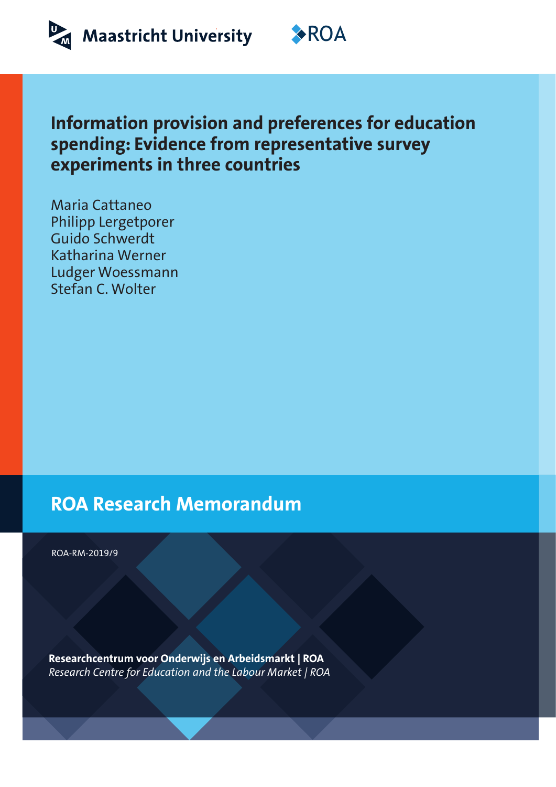



# **Information provision and preferences for education spending: Evidence from representative survey experiments in three countries**

Maria Cattaneo Philipp Lergetporer Guido Schwerdt Katharina Werner Ludger Woessmann Stefan C. Wolter

# **ROA Research Memorandum**

ROA-RM-2019/9

**Researchcentrum voor Onderwijs en Arbeidsmarkt | ROA** *Research Centre for Education and the Labour Market | ROA*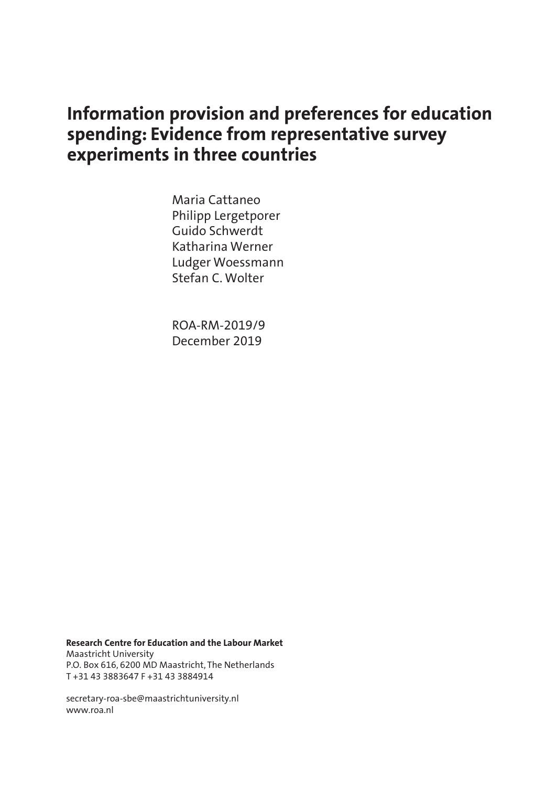# **Information provision and preferences for education spending: Evidence from representative survey experiments in three countries**

Maria Cattaneo Philipp Lergetporer Guido Schwerdt Katharina Werner Ludger Woessmann Stefan C. Wolter

ROA-RM-2019/9 December 2019

**Research Centre for Education and the Labour Market** Maastricht University P.O. Box 616, 6200 MD Maastricht, The Netherlands T +31 43 3883647 F +31 43 3884914

secretary-roa-sbe@maastrichtuniversity.nl www.roa.nl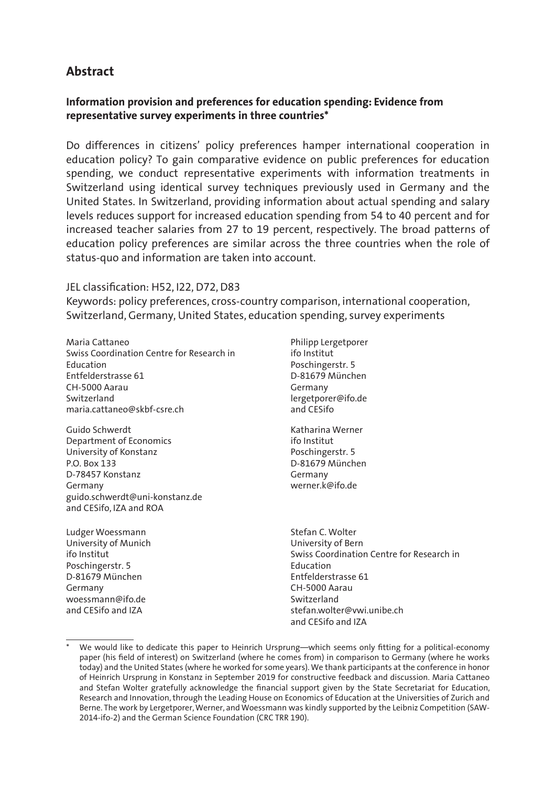# **Abstract**

## **Information provision and preferences for education spending: Evidence from representative survey experiments in three countries\***

Do differences in citizens' policy preferences hamper international cooperation in education policy? To gain comparative evidence on public preferences for education spending, we conduct representative experiments with information treatments in Switzerland using identical survey techniques previously used in Germany and the United States. In Switzerland, providing information about actual spending and salary levels reduces support for increased education spending from 54 to 40 percent and for increased teacher salaries from 27 to 19 percent, respectively. The broad patterns of education policy preferences are similar across the three countries when the role of status-quo and information are taken into account.

## JEL classification: H52, I22, D72, D83

Keywords: policy preferences, cross-country comparison, international cooperation, Switzerland, Germany, United States, education spending, survey experiments

Maria Cattaneo Swiss Coordination Centre for Research in Education Entfelderstrasse 61 CH-5000 Aarau Switzerland maria.cattaneo@skbf-csre.ch

Guido Schwerdt Department of Economics University of Konstanz P.O. Box 133 D-78457 Konstanz Germany guido.schwerdt@uni-konstanz.de and CESifo, IZA and ROA

Ludger Woessmann University of Munich ifo Institut Poschingerstr. 5 D-81679 München Germany woessmann@ifo.de and CESifo and IZA

Philipp Lergetporer ifo Institut Poschingerstr. 5 D-81679 München Germany lergetporer@ifo.de and CESifo

Katharina Werner ifo Institut Poschingerstr. 5 D-81679 München Germany werner.k@ifo.de

Stefan C. Wolter University of Bern Swiss Coordination Centre for Research in Education Entfelderstrasse 61 CH-5000 Aarau Switzerland stefan.wolter@vwi.unibe.ch and CESifo and IZA

We would like to dedicate this paper to Heinrich Ursprung—which seems only fitting for a political-economy paper (his field of interest) on Switzerland (where he comes from) in comparison to Germany (where he works today) and the United States (where he worked for some years). We thank participants at the conference in honor of Heinrich Ursprung in Konstanz in September 2019 for constructive feedback and discussion. Maria Cattaneo and Stefan Wolter gratefully acknowledge the financial support given by the State Secretariat for Education, Research and Innovation, through the Leading House on Economics of Education at the Universities of Zurich and Berne. The work by Lergetporer, Werner, and Woessmann was kindly supported by the Leibniz Competition (SAW-2014-ifo-2) and the German Science Foundation (CRC TRR 190).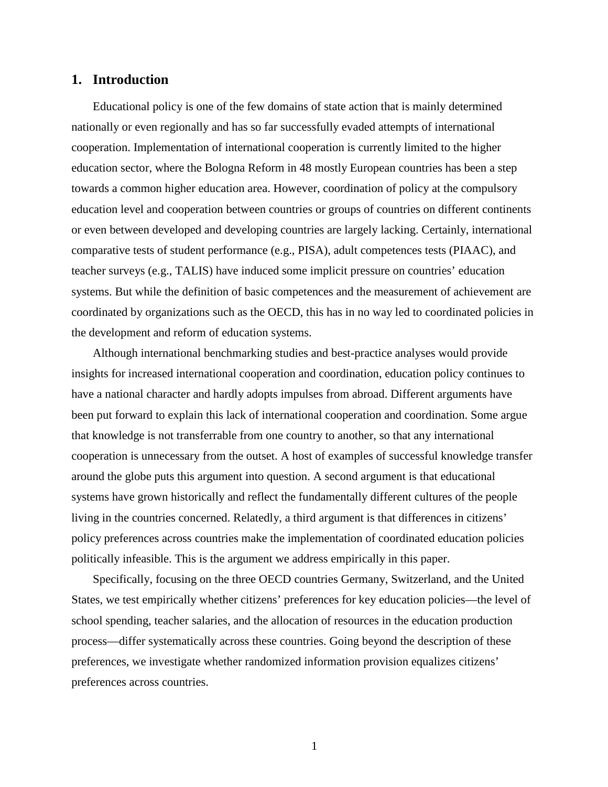## **1. Introduction**

Educational policy is one of the few domains of state action that is mainly determined nationally or even regionally and has so far successfully evaded attempts of international cooperation. Implementation of international cooperation is currently limited to the higher education sector, where the Bologna Reform in 48 mostly European countries has been a step towards a common higher education area. However, coordination of policy at the compulsory education level and cooperation between countries or groups of countries on different continents or even between developed and developing countries are largely lacking. Certainly, international comparative tests of student performance (e.g., PISA), adult competences tests (PIAAC), and teacher surveys (e.g., TALIS) have induced some implicit pressure on countries' education systems. But while the definition of basic competences and the measurement of achievement are coordinated by organizations such as the OECD, this has in no way led to coordinated policies in the development and reform of education systems.

Although international benchmarking studies and best-practice analyses would provide insights for increased international cooperation and coordination, education policy continues to have a national character and hardly adopts impulses from abroad. Different arguments have been put forward to explain this lack of international cooperation and coordination. Some argue that knowledge is not transferrable from one country to another, so that any international cooperation is unnecessary from the outset. A host of examples of successful knowledge transfer around the globe puts this argument into question. A second argument is that educational systems have grown historically and reflect the fundamentally different cultures of the people living in the countries concerned. Relatedly, a third argument is that differences in citizens' policy preferences across countries make the implementation of coordinated education policies politically infeasible. This is the argument we address empirically in this paper.

Specifically, focusing on the three OECD countries Germany, Switzerland, and the United States, we test empirically whether citizens' preferences for key education policies—the level of school spending, teacher salaries, and the allocation of resources in the education production process—differ systematically across these countries. Going beyond the description of these preferences, we investigate whether randomized information provision equalizes citizens' preferences across countries.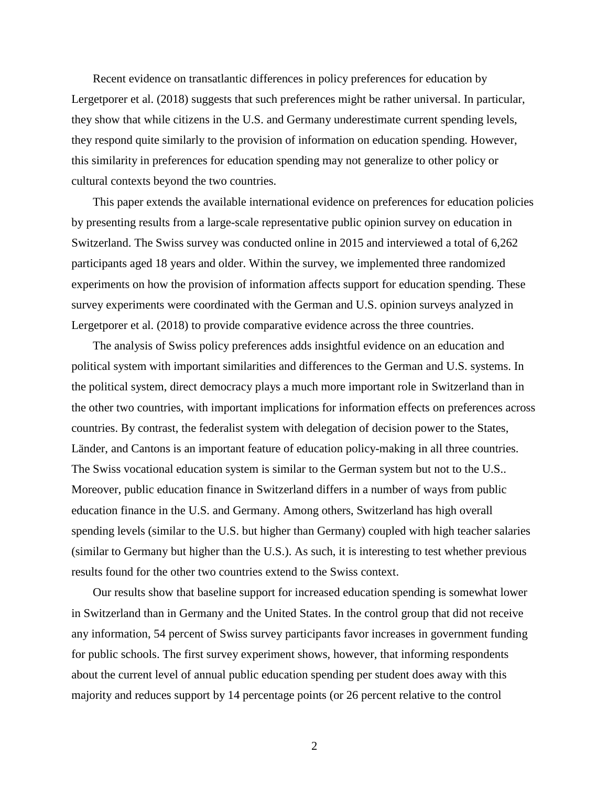Recent evidence on transatlantic differences in policy preferences for education by Lergetporer et al. (2018) suggests that such preferences might be rather universal. In particular, they show that while citizens in the U.S. and Germany underestimate current spending levels, they respond quite similarly to the provision of information on education spending. However, this similarity in preferences for education spending may not generalize to other policy or cultural contexts beyond the two countries.

This paper extends the available international evidence on preferences for education policies by presenting results from a large-scale representative public opinion survey on education in Switzerland. The Swiss survey was conducted online in 2015 and interviewed a total of 6,262 participants aged 18 years and older. Within the survey, we implemented three randomized experiments on how the provision of information affects support for education spending. These survey experiments were coordinated with the German and U.S. opinion surveys analyzed in Lergetporer et al. (2018) to provide comparative evidence across the three countries.

The analysis of Swiss policy preferences adds insightful evidence on an education and political system with important similarities and differences to the German and U.S. systems. In the political system, direct democracy plays a much more important role in Switzerland than in the other two countries, with important implications for information effects on preferences across countries. By contrast, the federalist system with delegation of decision power to the States, Länder, and Cantons is an important feature of education policy-making in all three countries. The Swiss vocational education system is similar to the German system but not to the U.S.. Moreover, public education finance in Switzerland differs in a number of ways from public education finance in the U.S. and Germany. Among others, Switzerland has high overall spending levels (similar to the U.S. but higher than Germany) coupled with high teacher salaries (similar to Germany but higher than the U.S.). As such, it is interesting to test whether previous results found for the other two countries extend to the Swiss context.

Our results show that baseline support for increased education spending is somewhat lower in Switzerland than in Germany and the United States. In the control group that did not receive any information, 54 percent of Swiss survey participants favor increases in government funding for public schools. The first survey experiment shows, however, that informing respondents about the current level of annual public education spending per student does away with this majority and reduces support by 14 percentage points (or 26 percent relative to the control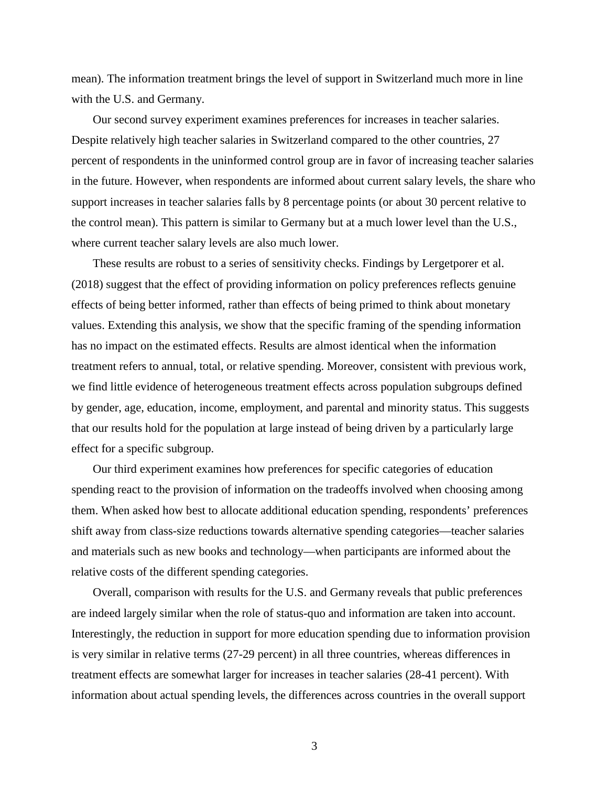mean). The information treatment brings the level of support in Switzerland much more in line with the U.S. and Germany.

Our second survey experiment examines preferences for increases in teacher salaries. Despite relatively high teacher salaries in Switzerland compared to the other countries, 27 percent of respondents in the uninformed control group are in favor of increasing teacher salaries in the future. However, when respondents are informed about current salary levels, the share who support increases in teacher salaries falls by 8 percentage points (or about 30 percent relative to the control mean). This pattern is similar to Germany but at a much lower level than the U.S., where current teacher salary levels are also much lower.

These results are robust to a series of sensitivity checks. Findings by Lergetporer et al. (2018) suggest that the effect of providing information on policy preferences reflects genuine effects of being better informed, rather than effects of being primed to think about monetary values. Extending this analysis, we show that the specific framing of the spending information has no impact on the estimated effects. Results are almost identical when the information treatment refers to annual, total, or relative spending. Moreover, consistent with previous work, we find little evidence of heterogeneous treatment effects across population subgroups defined by gender, age, education, income, employment, and parental and minority status. This suggests that our results hold for the population at large instead of being driven by a particularly large effect for a specific subgroup.

Our third experiment examines how preferences for specific categories of education spending react to the provision of information on the tradeoffs involved when choosing among them. When asked how best to allocate additional education spending, respondents' preferences shift away from class-size reductions towards alternative spending categories—teacher salaries and materials such as new books and technology—when participants are informed about the relative costs of the different spending categories.

Overall, comparison with results for the U.S. and Germany reveals that public preferences are indeed largely similar when the role of status-quo and information are taken into account. Interestingly, the reduction in support for more education spending due to information provision is very similar in relative terms (27-29 percent) in all three countries, whereas differences in treatment effects are somewhat larger for increases in teacher salaries (28-41 percent). With information about actual spending levels, the differences across countries in the overall support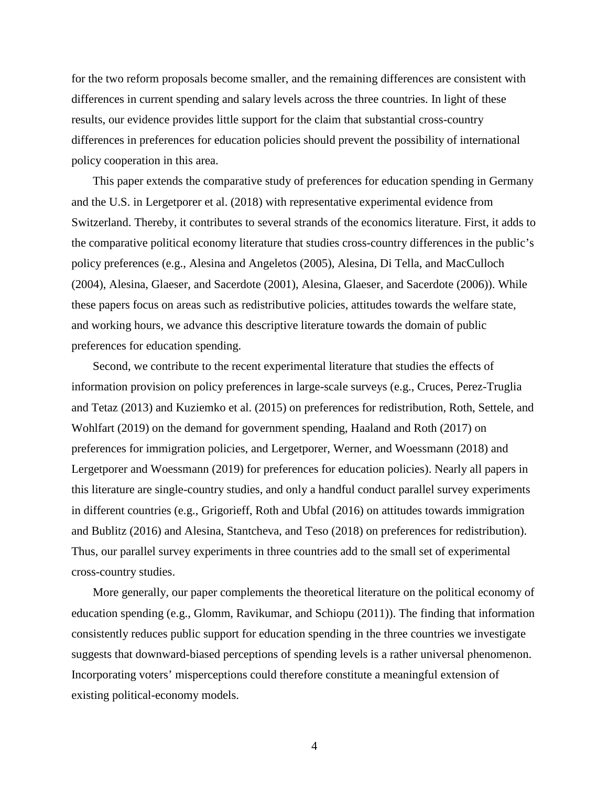for the two reform proposals become smaller, and the remaining differences are consistent with differences in current spending and salary levels across the three countries. In light of these results, our evidence provides little support for the claim that substantial cross-country differences in preferences for education policies should prevent the possibility of international policy cooperation in this area.

This paper extends the comparative study of preferences for education spending in Germany and the U.S. in Lergetporer et al. (2018) with representative experimental evidence from Switzerland. Thereby, it contributes to several strands of the economics literature. First, it adds to the comparative political economy literature that studies cross-country differences in the public's policy preferences (e.g., [Alesina and Angeletos \(2005\)](#page-21-0), [Alesina, Di Tella, and MacCulloch](#page-21-1)  [\(2004\)](#page-21-1), [Alesina, Glaeser, and Sacerdote \(2001\)](#page-21-2), [Alesina, Glaeser, and Sacerdote \(2006\)](#page-21-3)). While these papers focus on areas such as redistributive policies, attitudes towards the welfare state, and working hours, we advance this descriptive literature towards the domain of public preferences for education spending.

Second, we contribute to the recent experimental literature that studies the effects of information provision on policy preferences in large-scale surveys (e.g., Cruces, Perez-Truglia and Tetaz (2013) and Kuziemko et al. (2015) on preferences for redistribution, Roth, Settele, and Wohlfart (2019) on the demand for government spending, Haaland and Roth (2017) on preferences for immigration policies, and Lergetporer, Werner, and Woessmann (2018) and Lergetporer and Woessmann (2019) for preferences for education policies). Nearly all papers in this literature are single-country studies, and only a handful conduct parallel survey experiments in different countries (e.g., Grigorieff, Roth and Ubfal (2016) on attitudes towards immigration and Bublitz (2016) and Alesina, Stantcheva, and Teso (2018) on preferences for redistribution). Thus, our parallel survey experiments in three countries add to the small set of experimental cross-country studies.

More generally, our paper complements the theoretical literature on the political economy of education spending (e.g., [Glomm, Ravikumar, and Schiopu \(2011\)](#page-21-4)). The finding that information consistently reduces public support for education spending in the three countries we investigate suggests that downward-biased perceptions of spending levels is a rather universal phenomenon. Incorporating voters' misperceptions could therefore constitute a meaningful extension of existing political-economy models.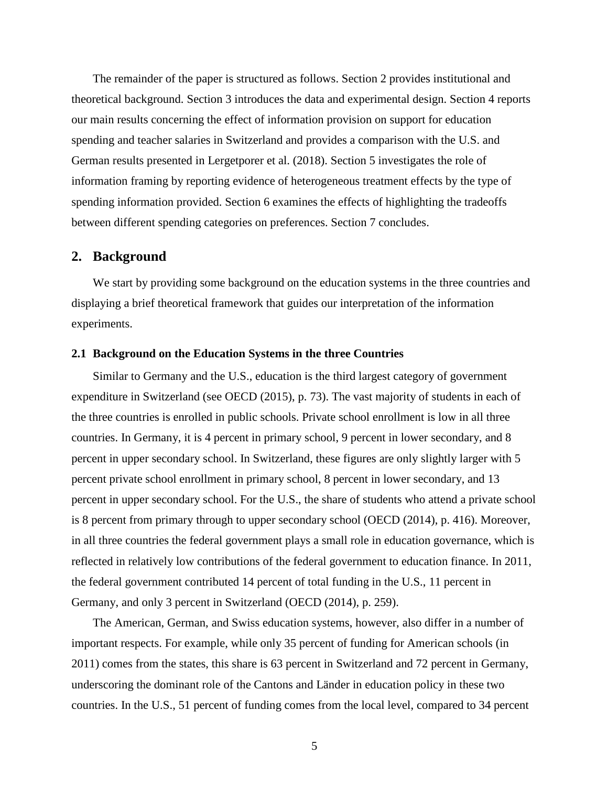The remainder of the paper is structured as follows. Section 2 provides institutional and theoretical background. Section 3 introduces the data and experimental design. Section 4 reports our main results concerning the effect of information provision on support for education spending and teacher salaries in Switzerland and provides a comparison with the U.S. and German results presented in Lergetporer et al. (2018). Section 5 investigates the role of information framing by reporting evidence of heterogeneous treatment effects by the type of spending information provided. Section 6 examines the effects of highlighting the tradeoffs between different spending categories on preferences. Section 7 concludes.

## **2. Background**

We start by providing some background on the education systems in the three countries and displaying a brief theoretical framework that guides our interpretation of the information experiments.

### **2.1 Background on the Education Systems in the three Countries**

Similar to Germany and the U.S., education is the third largest category of government expenditure in Switzerland (see OECD (2015), p. 73). The vast majority of students in each of the three countries is enrolled in public schools. Private school enrollment is low in all three countries. In Germany, it is 4 percent in primary school, 9 percent in lower secondary, and 8 percent in upper secondary school. In Switzerland, these figures are only slightly larger with 5 percent private school enrollment in primary school, 8 percent in lower secondary, and 13 percent in upper secondary school. For the U.S., the share of students who attend a private school is 8 percent from primary through to upper secondary school (OECD (2014), p. 416). Moreover, in all three countries the federal government plays a small role in education governance, which is reflected in relatively low contributions of the federal government to education finance. In 2011, the federal government contributed 14 percent of total funding in the U.S., 11 percent in Germany, and only 3 percent in Switzerland (OECD (2014), p. 259).

The American, German, and Swiss education systems, however, also differ in a number of important respects. For example, while only 35 percent of funding for American schools (in 2011) comes from the states, this share is 63 percent in Switzerland and 72 percent in Germany, underscoring the dominant role of the Cantons and Länder in education policy in these two countries. In the U.S., 51 percent of funding comes from the local level, compared to 34 percent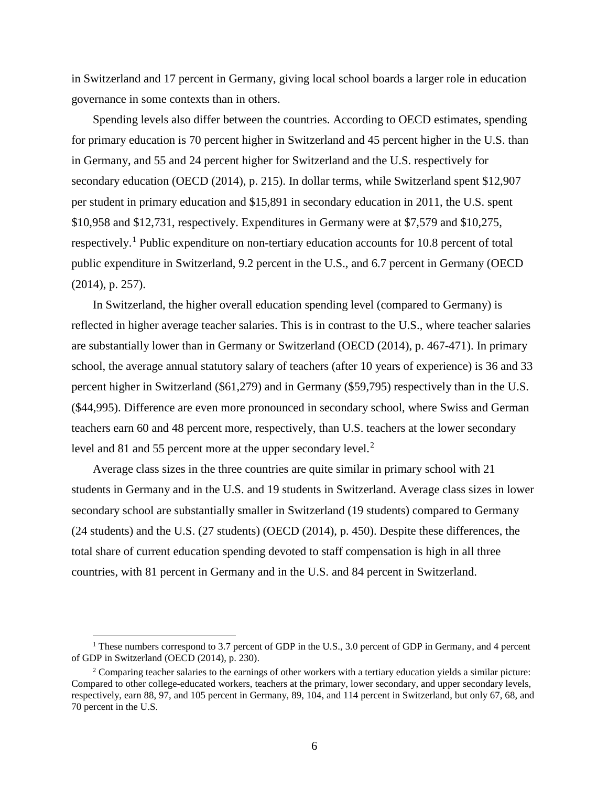in Switzerland and 17 percent in Germany, giving local school boards a larger role in education governance in some contexts than in others.

Spending levels also differ between the countries. According to OECD estimates, spending for primary education is 70 percent higher in Switzerland and 45 percent higher in the U.S. than in Germany, and 55 and 24 percent higher for Switzerland and the U.S. respectively for secondary education (OECD (2014), p. 215). In dollar terms, while Switzerland spent \$12,907 per student in primary education and \$15,891 in secondary education in 2011, the U.S. spent \$10,958 and \$12,731, respectively. Expenditures in Germany were at \$7,579 and \$10,275, respectively.[1](#page-8-0) Public expenditure on non-tertiary education accounts for 10.8 percent of total public expenditure in Switzerland, 9.2 percent in the U.S., and 6.7 percent in Germany (OECD (2014), p. 257).

In Switzerland, the higher overall education spending level (compared to Germany) is reflected in higher average teacher salaries. This is in contrast to the U.S., where teacher salaries are substantially lower than in Germany or Switzerland (OECD (2014), p. 467-471). In primary school, the average annual statutory salary of teachers (after 10 years of experience) is 36 and 33 percent higher in Switzerland (\$61,279) and in Germany (\$59,795) respectively than in the U.S. (\$44,995). Difference are even more pronounced in secondary school, where Swiss and German teachers earn 60 and 48 percent more, respectively, than U.S. teachers at the lower secondary level and 81 and 55 percent more at the upper secondary level.<sup>[2](#page-8-1)</sup>

Average class sizes in the three countries are quite similar in primary school with 21 students in Germany and in the U.S. and 19 students in Switzerland. Average class sizes in lower secondary school are substantially smaller in Switzerland (19 students) compared to Germany (24 students) and the U.S. (27 students) (OECD (2014), p. 450). Despite these differences, the total share of current education spending devoted to staff compensation is high in all three countries, with 81 percent in Germany and in the U.S. and 84 percent in Switzerland.

<span id="page-8-0"></span><sup>&</sup>lt;sup>1</sup> These numbers correspond to 3.7 percent of GDP in the U.S., 3.0 percent of GDP in Germany, and 4 percent of GDP in Switzerland (OECD (2014), p. 230).

<span id="page-8-1"></span> $2$  Comparing teacher salaries to the earnings of other workers with a tertiary education yields a similar picture: Compared to other college-educated workers, teachers at the primary, lower secondary, and upper secondary levels, respectively, earn 88, 97, and 105 percent in Germany, 89, 104, and 114 percent in Switzerland, but only 67, 68, and 70 percent in the U.S.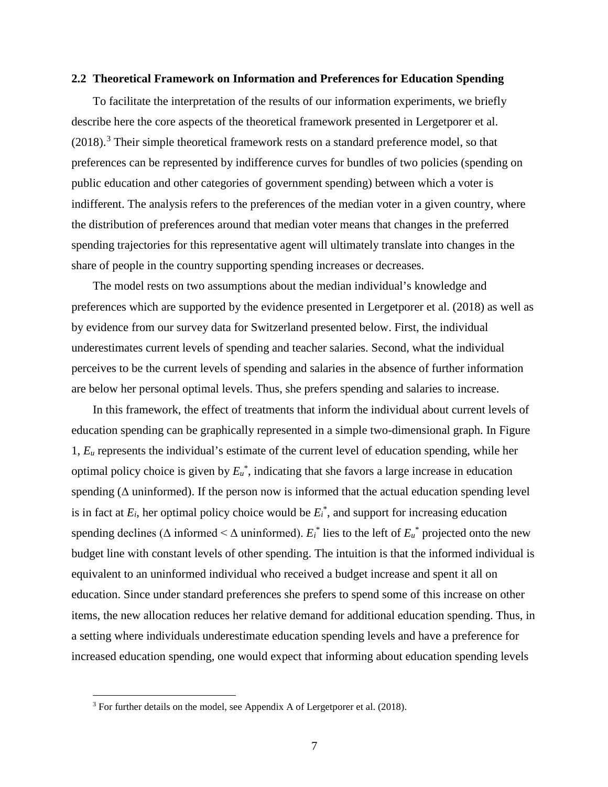#### **2.2 Theoretical Framework on Information and Preferences for Education Spending**

To facilitate the interpretation of the results of our information experiments, we briefly describe here the core aspects of the theoretical framework presented in Lergetporer et al.  $(2018).$ <sup>[3](#page-9-0)</sup> Their simple theoretical framework rests on a standard preference model, so that preferences can be represented by indifference curves for bundles of two policies (spending on public education and other categories of government spending) between which a voter is indifferent. The analysis refers to the preferences of the median voter in a given country, where the distribution of preferences around that median voter means that changes in the preferred spending trajectories for this representative agent will ultimately translate into changes in the share of people in the country supporting spending increases or decreases.

The model rests on two assumptions about the median individual's knowledge and preferences which are supported by the evidence presented in Lergetporer et al. (2018) as well as by evidence from our survey data for Switzerland presented below. First, the individual underestimates current levels of spending and teacher salaries. Second, what the individual perceives to be the current levels of spending and salaries in the absence of further information are below her personal optimal levels. Thus, she prefers spending and salaries to increase.

In this framework, the effect of treatments that inform the individual about current levels of education spending can be graphically represented in a simple two-dimensional graph. In Figure 1, *Eu* represents the individual's estimate of the current level of education spending, while her optimal policy choice is given by  $E_u^*$ , indicating that she favors a large increase in education spending ( $\Delta$  uninformed). If the person now is informed that the actual education spending level is in fact at  $E_i$ , her optimal policy choice would be  $E_i^*$ , and support for increasing education spending declines ( $\Delta$  informed  $\leq \Delta$  uninformed).  $E_i^*$  lies to the left of  $E_i^*$  projected onto the new budget line with constant levels of other spending. The intuition is that the informed individual is equivalent to an uninformed individual who received a budget increase and spent it all on education. Since under standard preferences she prefers to spend some of this increase on other items, the new allocation reduces her relative demand for additional education spending. Thus, in a setting where individuals underestimate education spending levels and have a preference for increased education spending, one would expect that informing about education spending levels

<span id="page-9-0"></span><sup>&</sup>lt;sup>3</sup> For further details on the model, see Appendix A of Lergetporer et al. (2018).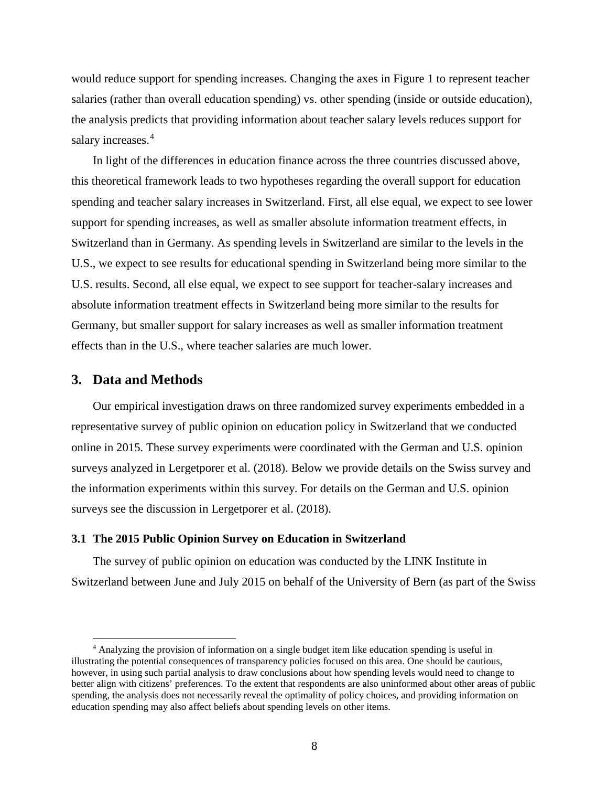would reduce support for spending increases. Changing the axes in Figure 1 to represent teacher salaries (rather than overall education spending) vs. other spending (inside or outside education), the analysis predicts that providing information about teacher salary levels reduces support for salary increases.<sup>[4](#page-10-0)</sup>

In light of the differences in education finance across the three countries discussed above, this theoretical framework leads to two hypotheses regarding the overall support for education spending and teacher salary increases in Switzerland. First, all else equal, we expect to see lower support for spending increases, as well as smaller absolute information treatment effects, in Switzerland than in Germany. As spending levels in Switzerland are similar to the levels in the U.S., we expect to see results for educational spending in Switzerland being more similar to the U.S. results. Second, all else equal, we expect to see support for teacher-salary increases and absolute information treatment effects in Switzerland being more similar to the results for Germany, but smaller support for salary increases as well as smaller information treatment effects than in the U.S., where teacher salaries are much lower.

## **3. Data and Methods**

Our empirical investigation draws on three randomized survey experiments embedded in a representative survey of public opinion on education policy in Switzerland that we conducted online in 2015. These survey experiments were coordinated with the German and U.S. opinion surveys analyzed in Lergetporer et al. (2018). Below we provide details on the Swiss survey and the information experiments within this survey. For details on the German and U.S. opinion surveys see the discussion in Lergetporer et al. (2018).

## **3.1 The 2015 Public Opinion Survey on Education in Switzerland**

The survey of public opinion on education was conducted by the LINK Institute in Switzerland between June and July 2015 on behalf of the University of Bern (as part of the Swiss

<span id="page-10-0"></span> <sup>4</sup> Analyzing the provision of information on a single budget item like education spending is useful in illustrating the potential consequences of transparency policies focused on this area. One should be cautious, however, in using such partial analysis to draw conclusions about how spending levels would need to change to better align with citizens' preferences. To the extent that respondents are also uninformed about other areas of public spending, the analysis does not necessarily reveal the optimality of policy choices, and providing information on education spending may also affect beliefs about spending levels on other items.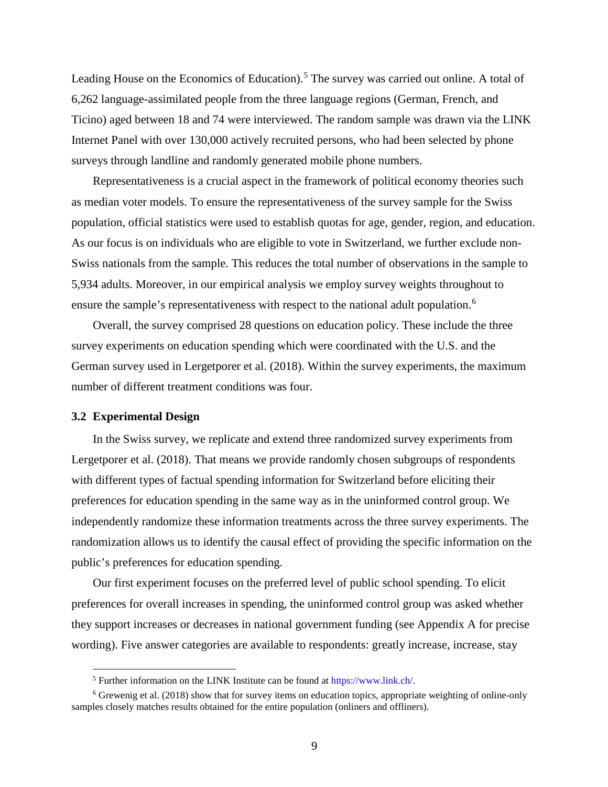Leading House on the Economics of Education).<sup>[5](#page-11-0)</sup> The survey was carried out online. A total of 6,262 language-assimilated people from the three language regions (German, French, and Ticino) aged between 18 and 74 were interviewed. The random sample was drawn via the LINK Internet Panel with over 130,000 actively recruited persons, who had been selected by phone surveys through landline and randomly generated mobile phone numbers.

Representativeness is a crucial aspect in the framework of political economy theories such as median voter models. To ensure the representativeness of the survey sample for the Swiss population, official statistics were used to establish quotas for age, gender, region, and education. As our focus is on individuals who are eligible to vote in Switzerland, we further exclude non-Swiss nationals from the sample. This reduces the total number of observations in the sample to 5,934 adults. Moreover, in our empirical analysis we employ survey weights throughout to ensure the sample's representativeness with respect to the national adult population.<sup>[6](#page-11-1)</sup>

Overall, the survey comprised 28 questions on education policy. These include the three survey experiments on education spending which were coordinated with the U.S. and the German survey used in Lergetporer et al. (2018). Within the survey experiments, the maximum number of different treatment conditions was four.

#### **3.2 Experimental Design**

In the Swiss survey, we replicate and extend three randomized survey experiments from Lergetporer et al. (2018). That means we provide randomly chosen subgroups of respondents with different types of factual spending information for Switzerland before eliciting their preferences for education spending in the same way as in the uninformed control group. We independently randomize these information treatments across the three survey experiments. The randomization allows us to identify the causal effect of providing the specific information on the public's preferences for education spending.

Our first experiment focuses on the preferred level of public school spending. To elicit preferences for overall increases in spending, the uninformed control group was asked whether they support increases or decreases in national government funding (see Appendix A for precise wording). Five answer categories are available to respondents: greatly increase, increase, stay

 <sup>5</sup> Further information on the LINK Institute can be found a[t https://www.link.ch/.](https://www.link.ch/)

<span id="page-11-1"></span><span id="page-11-0"></span><sup>6</sup> Grewenig et al. (2018) show that for survey items on education topics, appropriate weighting of online-only samples closely matches results obtained for the entire population (onliners and offliners).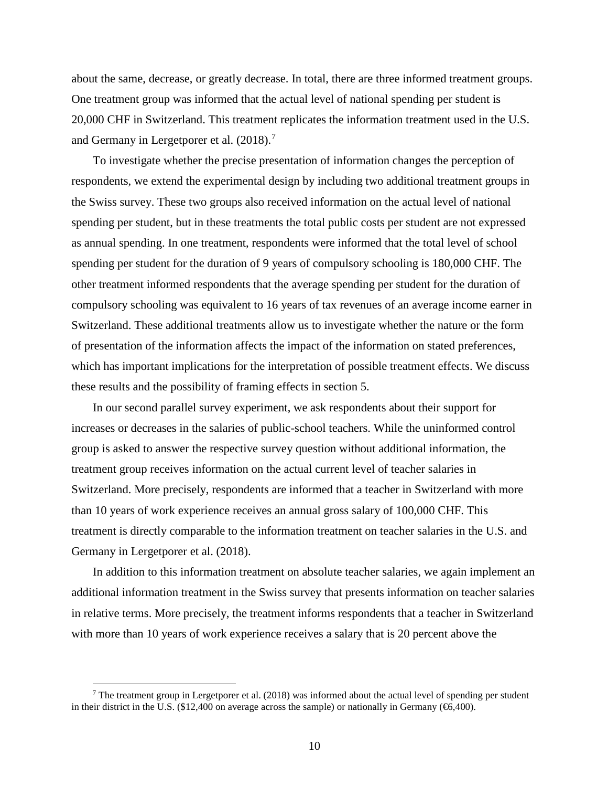about the same, decrease, or greatly decrease. In total, there are three informed treatment groups. One treatment group was informed that the actual level of national spending per student is 20,000 CHF in Switzerland. This treatment replicates the information treatment used in the U.S. and Germany in Lergetporer et al.  $(2018)$ .<sup>[7](#page-12-0)</sup>

To investigate whether the precise presentation of information changes the perception of respondents, we extend the experimental design by including two additional treatment groups in the Swiss survey. These two groups also received information on the actual level of national spending per student, but in these treatments the total public costs per student are not expressed as annual spending. In one treatment, respondents were informed that the total level of school spending per student for the duration of 9 years of compulsory schooling is 180,000 CHF. The other treatment informed respondents that the average spending per student for the duration of compulsory schooling was equivalent to 16 years of tax revenues of an average income earner in Switzerland. These additional treatments allow us to investigate whether the nature or the form of presentation of the information affects the impact of the information on stated preferences, which has important implications for the interpretation of possible treatment effects. We discuss these results and the possibility of framing effects in section 5.

In our second parallel survey experiment, we ask respondents about their support for increases or decreases in the salaries of public-school teachers. While the uninformed control group is asked to answer the respective survey question without additional information, the treatment group receives information on the actual current level of teacher salaries in Switzerland. More precisely, respondents are informed that a teacher in Switzerland with more than 10 years of work experience receives an annual gross salary of 100,000 CHF. This treatment is directly comparable to the information treatment on teacher salaries in the U.S. and Germany in Lergetporer et al. (2018).

In addition to this information treatment on absolute teacher salaries, we again implement an additional information treatment in the Swiss survey that presents information on teacher salaries in relative terms. More precisely, the treatment informs respondents that a teacher in Switzerland with more than 10 years of work experience receives a salary that is 20 percent above the

<span id="page-12-0"></span><sup>&</sup>lt;sup>7</sup> The treatment group in Lergetporer et al. (2018) was informed about the actual level of spending per student in their district in the U.S. (\$12,400 on average across the sample) or nationally in Germany ( $\epsilon$ 6,400).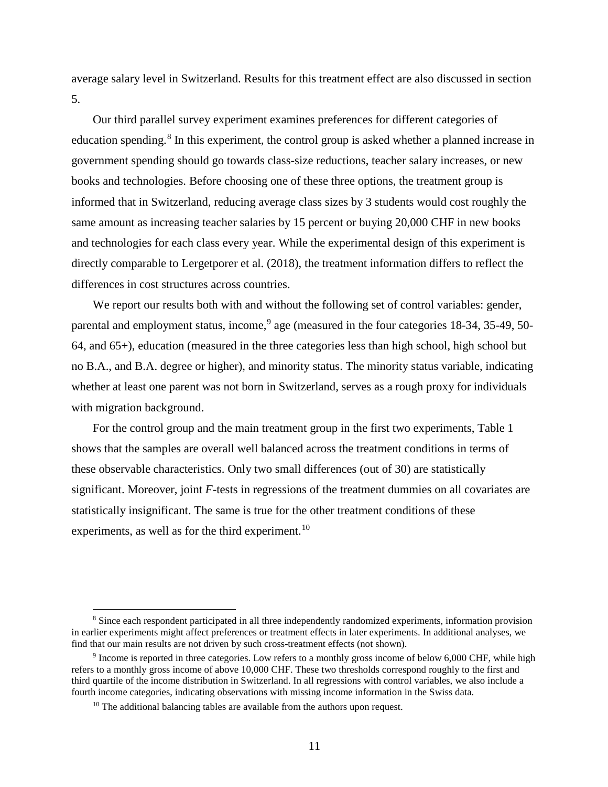average salary level in Switzerland. Results for this treatment effect are also discussed in section 5.

Our third parallel survey experiment examines preferences for different categories of education spending.<sup>[8](#page-13-0)</sup> In this experiment, the control group is asked whether a planned increase in government spending should go towards class-size reductions, teacher salary increases, or new books and technologies. Before choosing one of these three options, the treatment group is informed that in Switzerland, reducing average class sizes by 3 students would cost roughly the same amount as increasing teacher salaries by 15 percent or buying 20,000 CHF in new books and technologies for each class every year. While the experimental design of this experiment is directly comparable to Lergetporer et al. (2018), the treatment information differs to reflect the differences in cost structures across countries.

We report our results both with and without the following set of control variables: gender, parental and employment status, income, <sup>[9](#page-13-1)</sup> age (measured in the four categories 18-34, 35-49, 50-64, and 65+), education (measured in the three categories less than high school, high school but no B.A., and B.A. degree or higher), and minority status. The minority status variable, indicating whether at least one parent was not born in Switzerland, serves as a rough proxy for individuals with migration background.

For the control group and the main treatment group in the first two experiments, Table 1 shows that the samples are overall well balanced across the treatment conditions in terms of these observable characteristics. Only two small differences (out of 30) are statistically significant. Moreover, joint *F*-tests in regressions of the treatment dummies on all covariates are statistically insignificant. The same is true for the other treatment conditions of these experiments, as well as for the third experiment.<sup>[10](#page-13-2)</sup>

<span id="page-13-0"></span> <sup>8</sup> Since each respondent participated in all three independently randomized experiments, information provision in earlier experiments might affect preferences or treatment effects in later experiments. In additional analyses, we find that our main results are not driven by such cross-treatment effects (not shown).

<span id="page-13-2"></span><span id="page-13-1"></span><sup>9</sup> Income is reported in three categories. Low refers to a monthly gross income of below 6,000 CHF, while high refers to a monthly gross income of above 10,000 CHF. These two thresholds correspond roughly to the first and third quartile of the income distribution in Switzerland. In all regressions with control variables, we also include a fourth income categories, indicating observations with missing income information in the Swiss data.

<sup>&</sup>lt;sup>10</sup> The additional balancing tables are available from the authors upon request.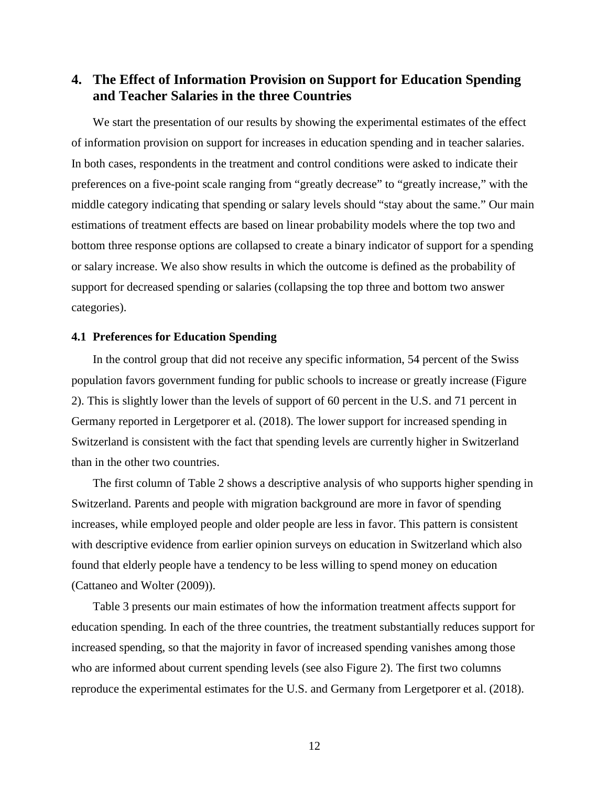# **4. The Effect of Information Provision on Support for Education Spending and Teacher Salaries in the three Countries**

We start the presentation of our results by showing the experimental estimates of the effect of information provision on support for increases in education spending and in teacher salaries. In both cases, respondents in the treatment and control conditions were asked to indicate their preferences on a five-point scale ranging from "greatly decrease" to "greatly increase," with the middle category indicating that spending or salary levels should "stay about the same." Our main estimations of treatment effects are based on linear probability models where the top two and bottom three response options are collapsed to create a binary indicator of support for a spending or salary increase. We also show results in which the outcome is defined as the probability of support for decreased spending or salaries (collapsing the top three and bottom two answer categories).

## **4.1 Preferences for Education Spending**

In the control group that did not receive any specific information, 54 percent of the Swiss population favors government funding for public schools to increase or greatly increase (Figure 2). This is slightly lower than the levels of support of 60 percent in the U.S. and 71 percent in Germany reported in Lergetporer et al. (2018). The lower support for increased spending in Switzerland is consistent with the fact that spending levels are currently higher in Switzerland than in the other two countries.

The first column of Table 2 shows a descriptive analysis of who supports higher spending in Switzerland. Parents and people with migration background are more in favor of spending increases, while employed people and older people are less in favor. This pattern is consistent with descriptive evidence from earlier opinion surveys on education in Switzerland which also found that elderly people have a tendency to be less willing to spend money on education (Cattaneo and Wolter (2009)).

Table 3 presents our main estimates of how the information treatment affects support for education spending. In each of the three countries, the treatment substantially reduces support for increased spending, so that the majority in favor of increased spending vanishes among those who are informed about current spending levels (see also Figure 2). The first two columns reproduce the experimental estimates for the U.S. and Germany from Lergetporer et al. (2018).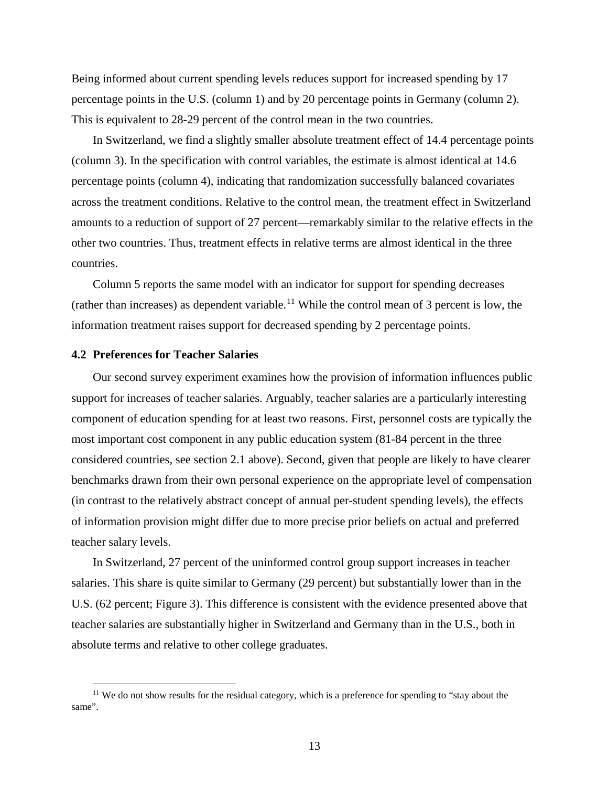Being informed about current spending levels reduces support for increased spending by 17 percentage points in the U.S. (column 1) and by 20 percentage points in Germany (column 2). This is equivalent to 28-29 percent of the control mean in the two countries.

In Switzerland, we find a slightly smaller absolute treatment effect of 14.4 percentage points (column 3). In the specification with control variables, the estimate is almost identical at 14.6 percentage points (column 4), indicating that randomization successfully balanced covariates across the treatment conditions. Relative to the control mean, the treatment effect in Switzerland amounts to a reduction of support of 27 percent—remarkably similar to the relative effects in the other two countries. Thus, treatment effects in relative terms are almost identical in the three countries.

Column 5 reports the same model with an indicator for support for spending decreases (rather than increases) as dependent variable.<sup>[11](#page-15-0)</sup> While the control mean of 3 percent is low, the information treatment raises support for decreased spending by 2 percentage points.

#### **4.2 Preferences for Teacher Salaries**

Our second survey experiment examines how the provision of information influences public support for increases of teacher salaries. Arguably, teacher salaries are a particularly interesting component of education spending for at least two reasons. First, personnel costs are typically the most important cost component in any public education system (81-84 percent in the three considered countries, see section 2.1 above). Second, given that people are likely to have clearer benchmarks drawn from their own personal experience on the appropriate level of compensation (in contrast to the relatively abstract concept of annual per-student spending levels), the effects of information provision might differ due to more precise prior beliefs on actual and preferred teacher salary levels.

In Switzerland, 27 percent of the uninformed control group support increases in teacher salaries. This share is quite similar to Germany (29 percent) but substantially lower than in the U.S. (62 percent; Figure 3). This difference is consistent with the evidence presented above that teacher salaries are substantially higher in Switzerland and Germany than in the U.S., both in absolute terms and relative to other college graduates.

<span id="page-15-0"></span><sup>&</sup>lt;sup>11</sup> We do not show results for the residual category, which is a preference for spending to "stay about the same".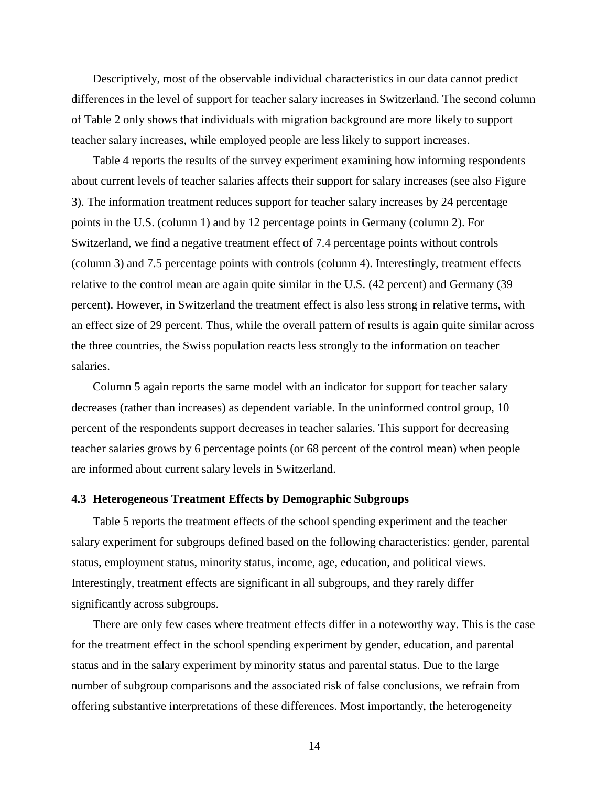Descriptively, most of the observable individual characteristics in our data cannot predict differences in the level of support for teacher salary increases in Switzerland. The second column of Table 2 only shows that individuals with migration background are more likely to support teacher salary increases, while employed people are less likely to support increases.

Table 4 reports the results of the survey experiment examining how informing respondents about current levels of teacher salaries affects their support for salary increases (see also Figure 3). The information treatment reduces support for teacher salary increases by 24 percentage points in the U.S. (column 1) and by 12 percentage points in Germany (column 2). For Switzerland, we find a negative treatment effect of 7.4 percentage points without controls (column 3) and 7.5 percentage points with controls (column 4). Interestingly, treatment effects relative to the control mean are again quite similar in the U.S. (42 percent) and Germany (39 percent). However, in Switzerland the treatment effect is also less strong in relative terms, with an effect size of 29 percent. Thus, while the overall pattern of results is again quite similar across the three countries, the Swiss population reacts less strongly to the information on teacher salaries.

Column 5 again reports the same model with an indicator for support for teacher salary decreases (rather than increases) as dependent variable. In the uninformed control group, 10 percent of the respondents support decreases in teacher salaries. This support for decreasing teacher salaries grows by 6 percentage points (or 68 percent of the control mean) when people are informed about current salary levels in Switzerland.

### **4.3 Heterogeneous Treatment Effects by Demographic Subgroups**

Table 5 reports the treatment effects of the school spending experiment and the teacher salary experiment for subgroups defined based on the following characteristics: gender, parental status, employment status, minority status, income, age, education, and political views. Interestingly, treatment effects are significant in all subgroups, and they rarely differ significantly across subgroups.

There are only few cases where treatment effects differ in a noteworthy way. This is the case for the treatment effect in the school spending experiment by gender, education, and parental status and in the salary experiment by minority status and parental status. Due to the large number of subgroup comparisons and the associated risk of false conclusions, we refrain from offering substantive interpretations of these differences. Most importantly, the heterogeneity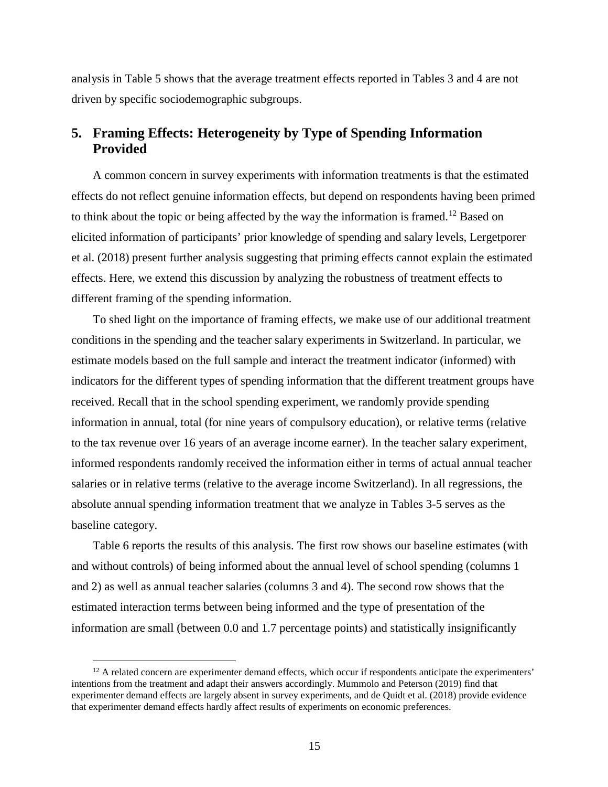analysis in Table 5 shows that the average treatment effects reported in Tables 3 and 4 are not driven by specific sociodemographic subgroups.

# **5. Framing Effects: Heterogeneity by Type of Spending Information Provided**

A common concern in survey experiments with information treatments is that the estimated effects do not reflect genuine information effects, but depend on respondents having been primed to think about the topic or being affected by the way the information is framed.<sup>[12](#page-17-0)</sup> Based on elicited information of participants' prior knowledge of spending and salary levels, Lergetporer et al. (2018) present further analysis suggesting that priming effects cannot explain the estimated effects. Here, we extend this discussion by analyzing the robustness of treatment effects to different framing of the spending information.

To shed light on the importance of framing effects, we make use of our additional treatment conditions in the spending and the teacher salary experiments in Switzerland. In particular, we estimate models based on the full sample and interact the treatment indicator (informed) with indicators for the different types of spending information that the different treatment groups have received. Recall that in the school spending experiment, we randomly provide spending information in annual, total (for nine years of compulsory education), or relative terms (relative to the tax revenue over 16 years of an average income earner). In the teacher salary experiment, informed respondents randomly received the information either in terms of actual annual teacher salaries or in relative terms (relative to the average income Switzerland). In all regressions, the absolute annual spending information treatment that we analyze in Tables 3-5 serves as the baseline category.

Table 6 reports the results of this analysis. The first row shows our baseline estimates (with and without controls) of being informed about the annual level of school spending (columns 1 and 2) as well as annual teacher salaries (columns 3 and 4). The second row shows that the estimated interaction terms between being informed and the type of presentation of the information are small (between 0.0 and 1.7 percentage points) and statistically insignificantly

<span id="page-17-0"></span> $12$  A related concern are experimenter demand effects, which occur if respondents anticipate the experimenters' intentions from the treatment and adapt their answers accordingly. Mummolo and Peterson (2019) find that experimenter demand effects are largely absent in survey experiments, and de Quidt et al. (2018) provide evidence that experimenter demand effects hardly affect results of experiments on economic preferences.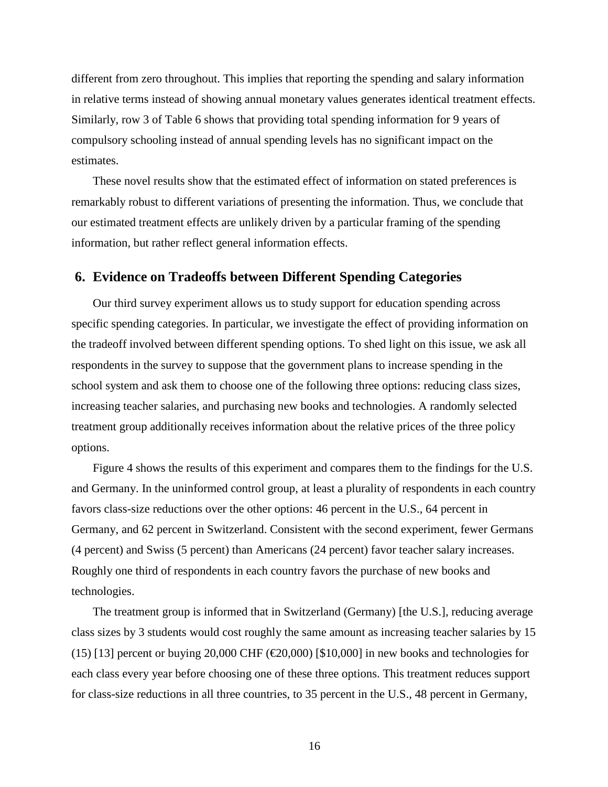different from zero throughout. This implies that reporting the spending and salary information in relative terms instead of showing annual monetary values generates identical treatment effects. Similarly, row 3 of Table 6 shows that providing total spending information for 9 years of compulsory schooling instead of annual spending levels has no significant impact on the estimates.

These novel results show that the estimated effect of information on stated preferences is remarkably robust to different variations of presenting the information. Thus, we conclude that our estimated treatment effects are unlikely driven by a particular framing of the spending information, but rather reflect general information effects.

## **6. Evidence on Tradeoffs between Different Spending Categories**

Our third survey experiment allows us to study support for education spending across specific spending categories. In particular, we investigate the effect of providing information on the tradeoff involved between different spending options. To shed light on this issue, we ask all respondents in the survey to suppose that the government plans to increase spending in the school system and ask them to choose one of the following three options: reducing class sizes, increasing teacher salaries, and purchasing new books and technologies. A randomly selected treatment group additionally receives information about the relative prices of the three policy options.

Figure 4 shows the results of this experiment and compares them to the findings for the U.S. and Germany. In the uninformed control group, at least a plurality of respondents in each country favors class-size reductions over the other options: 46 percent in the U.S., 64 percent in Germany, and 62 percent in Switzerland. Consistent with the second experiment, fewer Germans (4 percent) and Swiss (5 percent) than Americans (24 percent) favor teacher salary increases. Roughly one third of respondents in each country favors the purchase of new books and technologies.

The treatment group is informed that in Switzerland (Germany) [the U.S.], reducing average class sizes by 3 students would cost roughly the same amount as increasing teacher salaries by 15 (15) [13] percent or buying 20,000 CHF ( $\epsilon$ 20,000) [\$10,000] in new books and technologies for each class every year before choosing one of these three options. This treatment reduces support for class-size reductions in all three countries, to 35 percent in the U.S., 48 percent in Germany,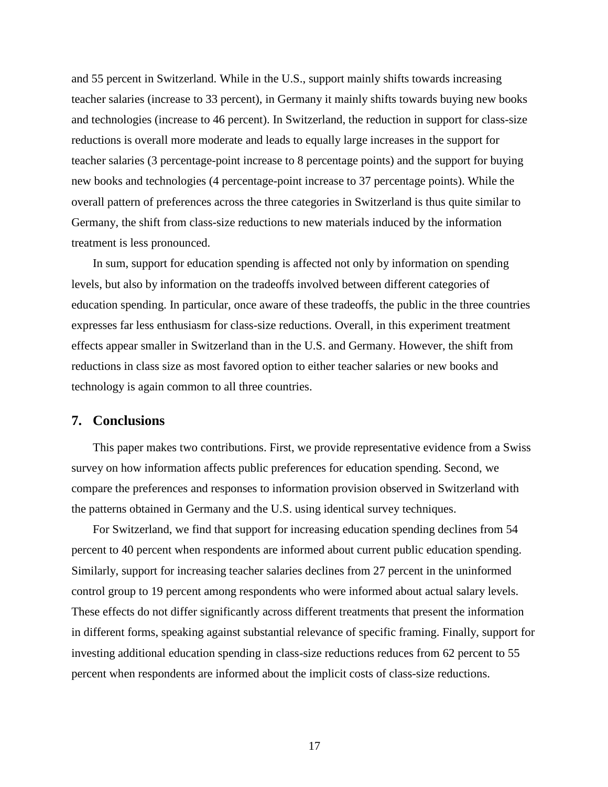and 55 percent in Switzerland. While in the U.S., support mainly shifts towards increasing teacher salaries (increase to 33 percent), in Germany it mainly shifts towards buying new books and technologies (increase to 46 percent). In Switzerland, the reduction in support for class-size reductions is overall more moderate and leads to equally large increases in the support for teacher salaries (3 percentage-point increase to 8 percentage points) and the support for buying new books and technologies (4 percentage-point increase to 37 percentage points). While the overall pattern of preferences across the three categories in Switzerland is thus quite similar to Germany, the shift from class-size reductions to new materials induced by the information treatment is less pronounced.

In sum, support for education spending is affected not only by information on spending levels, but also by information on the tradeoffs involved between different categories of education spending. In particular, once aware of these tradeoffs, the public in the three countries expresses far less enthusiasm for class-size reductions. Overall, in this experiment treatment effects appear smaller in Switzerland than in the U.S. and Germany. However, the shift from reductions in class size as most favored option to either teacher salaries or new books and technology is again common to all three countries.

## **7. Conclusions**

This paper makes two contributions. First, we provide representative evidence from a Swiss survey on how information affects public preferences for education spending. Second, we compare the preferences and responses to information provision observed in Switzerland with the patterns obtained in Germany and the U.S. using identical survey techniques.

For Switzerland, we find that support for increasing education spending declines from 54 percent to 40 percent when respondents are informed about current public education spending. Similarly, support for increasing teacher salaries declines from 27 percent in the uninformed control group to 19 percent among respondents who were informed about actual salary levels. These effects do not differ significantly across different treatments that present the information in different forms, speaking against substantial relevance of specific framing. Finally, support for investing additional education spending in class-size reductions reduces from 62 percent to 55 percent when respondents are informed about the implicit costs of class-size reductions.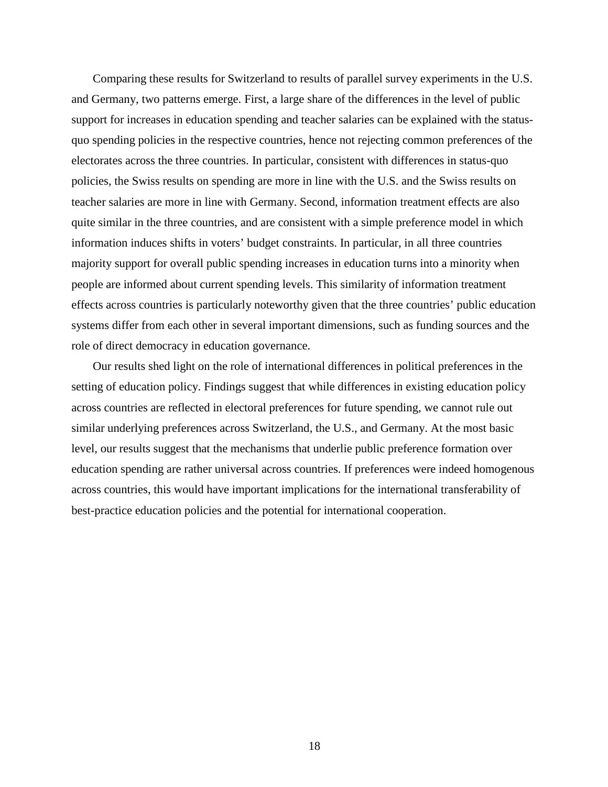Comparing these results for Switzerland to results of parallel survey experiments in the U.S. and Germany, two patterns emerge. First, a large share of the differences in the level of public support for increases in education spending and teacher salaries can be explained with the statusquo spending policies in the respective countries, hence not rejecting common preferences of the electorates across the three countries. In particular, consistent with differences in status-quo policies, the Swiss results on spending are more in line with the U.S. and the Swiss results on teacher salaries are more in line with Germany. Second, information treatment effects are also quite similar in the three countries, and are consistent with a simple preference model in which information induces shifts in voters' budget constraints. In particular, in all three countries majority support for overall public spending increases in education turns into a minority when people are informed about current spending levels. This similarity of information treatment effects across countries is particularly noteworthy given that the three countries' public education systems differ from each other in several important dimensions, such as funding sources and the role of direct democracy in education governance.

Our results shed light on the role of international differences in political preferences in the setting of education policy. Findings suggest that while differences in existing education policy across countries are reflected in electoral preferences for future spending, we cannot rule out similar underlying preferences across Switzerland, the U.S., and Germany. At the most basic level, our results suggest that the mechanisms that underlie public preference formation over education spending are rather universal across countries. If preferences were indeed homogenous across countries, this would have important implications for the international transferability of best-practice education policies and the potential for international cooperation.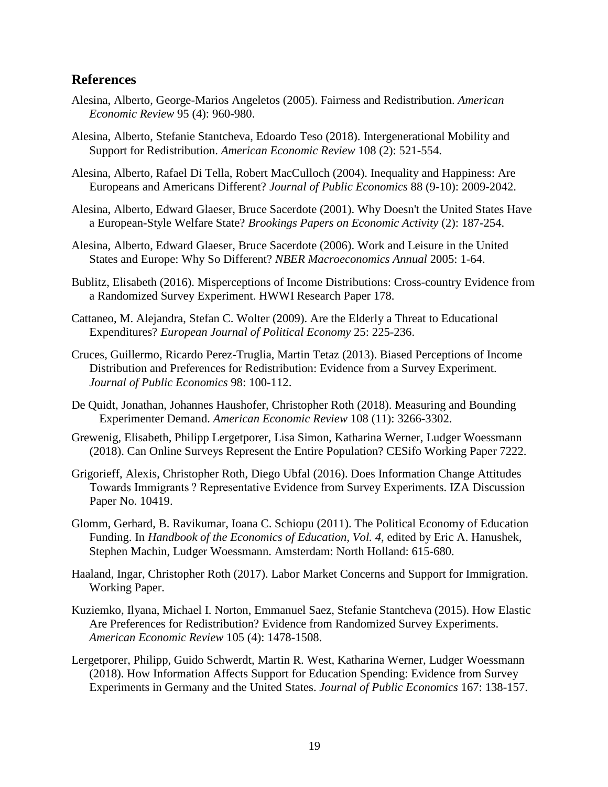## **References**

- <span id="page-21-0"></span>Alesina, Alberto, George-Marios Angeletos (2005). Fairness and Redistribution. *American Economic Review* 95 (4): 960-980.
- <span id="page-21-1"></span>Alesina, Alberto, Stefanie Stantcheva, Edoardo Teso (2018). Intergenerational Mobility and Support for Redistribution. *American Economic Review* 108 (2): 521-554.
- Alesina, Alberto, Rafael Di Tella, Robert MacCulloch (2004). Inequality and Happiness: Are Europeans and Americans Different? *Journal of Public Economics* 88 (9-10): 2009-2042.
- <span id="page-21-2"></span>Alesina, Alberto, Edward Glaeser, Bruce Sacerdote (2001). Why Doesn't the United States Have a European-Style Welfare State? *Brookings Papers on Economic Activity* (2): 187-254.
- <span id="page-21-3"></span>Alesina, Alberto, Edward Glaeser, Bruce Sacerdote (2006). Work and Leisure in the United States and Europe: Why So Different? *NBER Macroeconomics Annual* 2005: 1-64.
- Bublitz, Elisabeth (2016). Misperceptions of Income Distributions: Cross-country Evidence from a Randomized Survey Experiment. HWWI Research Paper 178.
- Cattaneo, M. Alejandra, Stefan C. Wolter (2009). Are the Elderly a Threat to Educational Expenditures? *European Journal of Political Economy* 25: 225-236.
- Cruces, Guillermo, Ricardo Perez-Truglia, Martin Tetaz (2013). Biased Perceptions of Income Distribution and Preferences for Redistribution: Evidence from a Survey Experiment. *Journal of Public Economics* 98: 100-112.
- De Quidt, Jonathan, Johannes Haushofer, Christopher Roth (2018). Measuring and Bounding Experimenter Demand. *American Economic Review* 108 (11): 3266-3302.
- Grewenig, Elisabeth, Philipp Lergetporer, Lisa Simon, Katharina Werner, Ludger Woessmann (2018). Can Online Surveys Represent the Entire Population? CESifo Working Paper 7222.
- Grigorieff, Alexis, Christopher Roth, Diego Ubfal (2016). Does Information Change Attitudes Towards Immigrants ? Representative Evidence from Survey Experiments. IZA Discussion Paper No. 10419.
- <span id="page-21-4"></span>Glomm, Gerhard, B. Ravikumar, Ioana C. Schiopu (2011). The Political Economy of Education Funding. In *Handbook of the Economics of Education, Vol. 4*, edited by Eric A. Hanushek, Stephen Machin, Ludger Woessmann. Amsterdam: North Holland: 615-680.
- Haaland, Ingar, Christopher Roth (2017). Labor Market Concerns and Support for Immigration. Working Paper.
- Kuziemko, Ilyana, Michael I. Norton, Emmanuel Saez, Stefanie Stantcheva (2015). How Elastic Are Preferences for Redistribution? Evidence from Randomized Survey Experiments. *American Economic Review* 105 (4): 1478-1508.
- Lergetporer, Philipp, Guido Schwerdt, Martin R. West, Katharina Werner, Ludger Woessmann (2018). How Information Affects Support for Education Spending: Evidence from Survey Experiments in Germany and the United States. *Journal of Public Economics* 167: 138-157.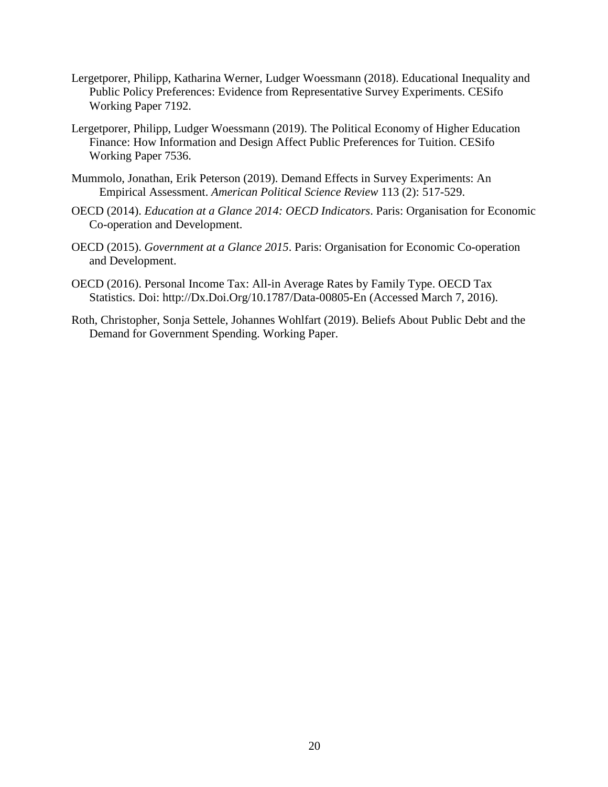- Lergetporer, Philipp, Katharina Werner, Ludger Woessmann (2018). Educational Inequality and Public Policy Preferences: Evidence from Representative Survey Experiments. CESifo Working Paper 7192.
- Lergetporer, Philipp, Ludger Woessmann (2019). The Political Economy of Higher Education Finance: How Information and Design Affect Public Preferences for Tuition. CESifo Working Paper 7536.
- Mummolo, Jonathan, Erik Peterson (2019). Demand Effects in Survey Experiments: An Empirical Assessment. *American Political Science Review* 113 (2): 517-529.
- OECD (2014). *Education at a Glance 2014: OECD Indicators*. Paris: Organisation for Economic Co-operation and Development.
- OECD (2015). *Government at a Glance 2015*. Paris: Organisation for Economic Co-operation and Development.
- OECD (2016). Personal Income Tax: All-in Average Rates by Family Type. OECD Tax Statistics. Doi: http://Dx.Doi.Org/10.1787/Data-00805-En (Accessed March 7, 2016).
- Roth, Christopher, Sonja Settele, Johannes Wohlfart (2019). Beliefs About Public Debt and the Demand for Government Spending. Working Paper.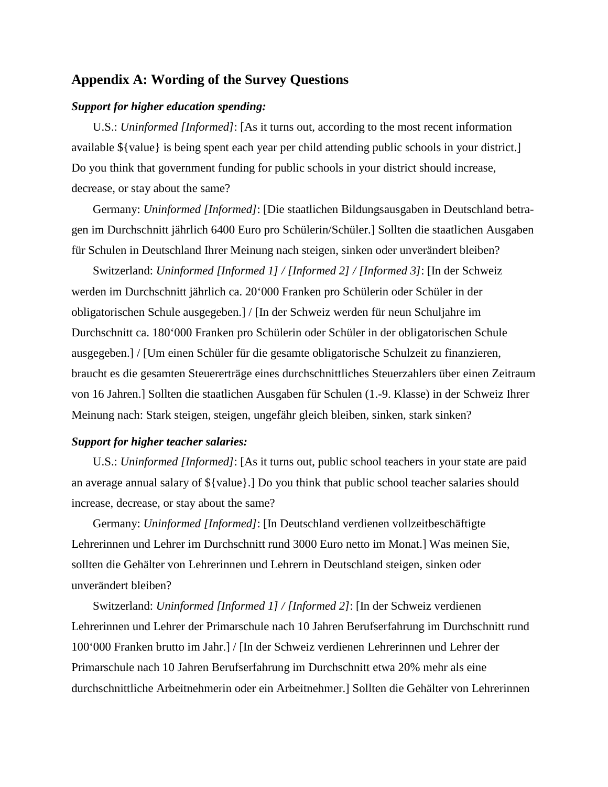# **Appendix A: Wording of the Survey Questions**

### *Support for higher education spending:*

U.S.: *Uninformed [Informed]*: [As it turns out, according to the most recent information available \${value} is being spent each year per child attending public schools in your district.] Do you think that government funding for public schools in your district should increase, decrease, or stay about the same?

Germany: *Uninformed [Informed]*: [Die staatlichen Bildungsausgaben in Deutschland betragen im Durchschnitt jährlich 6400 Euro pro Schülerin/Schüler.] Sollten die staatlichen Ausgaben für Schulen in Deutschland Ihrer Meinung nach steigen, sinken oder unverändert bleiben?

Switzerland: *Uninformed [Informed 1] / [Informed 2] / [Informed 3]*: [In der Schweiz werden im Durchschnitt jährlich ca. 20'000 Franken pro Schülerin oder Schüler in der obligatorischen Schule ausgegeben.] / [In der Schweiz werden für neun Schuljahre im Durchschnitt ca. 180'000 Franken pro Schülerin oder Schüler in der obligatorischen Schule ausgegeben.] / [Um einen Schüler für die gesamte obligatorische Schulzeit zu finanzieren, braucht es die gesamten Steuererträge eines durchschnittliches Steuerzahlers über einen Zeitraum von 16 Jahren.] Sollten die staatlichen Ausgaben für Schulen (1.-9. Klasse) in der Schweiz Ihrer Meinung nach: Stark steigen, steigen, ungefähr gleich bleiben, sinken, stark sinken?

## *Support for higher teacher salaries:*

U.S.: *Uninformed [Informed]*: [As it turns out, public school teachers in your state are paid an average annual salary of \${value}.] Do you think that public school teacher salaries should increase, decrease, or stay about the same?

Germany: *Uninformed [Informed]*: [In Deutschland verdienen vollzeitbeschäftigte Lehrerinnen und Lehrer im Durchschnitt rund 3000 Euro netto im Monat.] Was meinen Sie, sollten die Gehälter von Lehrerinnen und Lehrern in Deutschland steigen, sinken oder unverändert bleiben?

Switzerland: *Uninformed [Informed 1] / [Informed 2]*: [In der Schweiz verdienen Lehrerinnen und Lehrer der Primarschule nach 10 Jahren Berufserfahrung im Durchschnitt rund 100'000 Franken brutto im Jahr.] / [In der Schweiz verdienen Lehrerinnen und Lehrer der Primarschule nach 10 Jahren Berufserfahrung im Durchschnitt etwa 20% mehr als eine durchschnittliche Arbeitnehmerin oder ein Arbeitnehmer.] Sollten die Gehälter von Lehrerinnen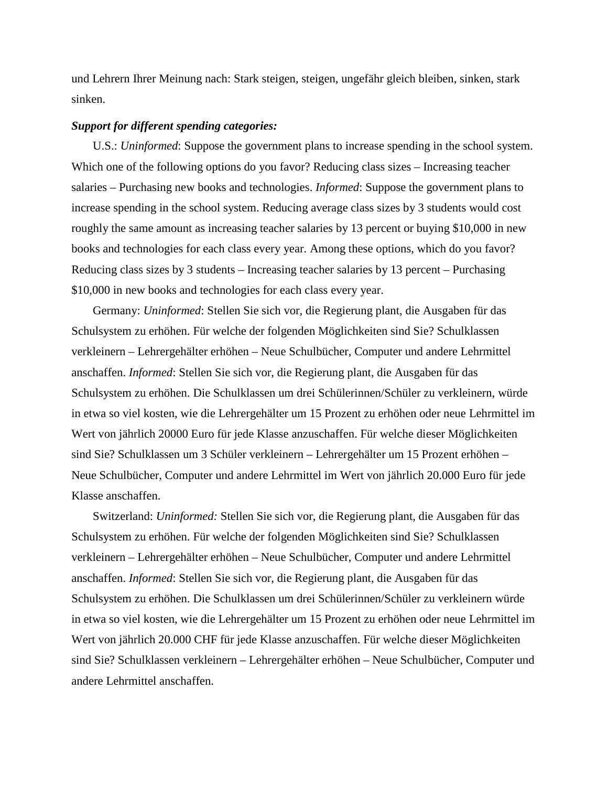und Lehrern Ihrer Meinung nach: Stark steigen, steigen, ungefähr gleich bleiben, sinken, stark sinken.

#### *Support for different spending categories:*

U.S.: *Uninformed*: Suppose the government plans to increase spending in the school system. Which one of the following options do you favor? Reducing class sizes – Increasing teacher salaries – Purchasing new books and technologies. *Informed*: Suppose the government plans to increase spending in the school system. Reducing average class sizes by 3 students would cost roughly the same amount as increasing teacher salaries by 13 percent or buying \$10,000 in new books and technologies for each class every year. Among these options, which do you favor? Reducing class sizes by 3 students – Increasing teacher salaries by 13 percent – Purchasing \$10,000 in new books and technologies for each class every year.

Germany: *Uninformed*: Stellen Sie sich vor, die Regierung plant, die Ausgaben für das Schulsystem zu erhöhen. Für welche der folgenden Möglichkeiten sind Sie? Schulklassen verkleinern – Lehrergehälter erhöhen – Neue Schulbücher, Computer und andere Lehrmittel anschaffen. *Informed*: Stellen Sie sich vor, die Regierung plant, die Ausgaben für das Schulsystem zu erhöhen. Die Schulklassen um drei Schülerinnen/Schüler zu verkleinern, würde in etwa so viel kosten, wie die Lehrergehälter um 15 Prozent zu erhöhen oder neue Lehrmittel im Wert von jährlich 20000 Euro für jede Klasse anzuschaffen. Für welche dieser Möglichkeiten sind Sie? Schulklassen um 3 Schüler verkleinern – Lehrergehälter um 15 Prozent erhöhen – Neue Schulbücher, Computer und andere Lehrmittel im Wert von jährlich 20.000 Euro für jede Klasse anschaffen.

Switzerland: *Uninformed:* Stellen Sie sich vor, die Regierung plant, die Ausgaben für das Schulsystem zu erhöhen. Für welche der folgenden Möglichkeiten sind Sie? Schulklassen verkleinern – Lehrergehälter erhöhen – Neue Schulbücher, Computer und andere Lehrmittel anschaffen. *Informed*: Stellen Sie sich vor, die Regierung plant, die Ausgaben für das Schulsystem zu erhöhen. Die Schulklassen um drei Schülerinnen/Schüler zu verkleinern würde in etwa so viel kosten, wie die Lehrergehälter um 15 Prozent zu erhöhen oder neue Lehrmittel im Wert von jährlich 20.000 CHF für jede Klasse anzuschaffen. Für welche dieser Möglichkeiten sind Sie? Schulklassen verkleinern – Lehrergehälter erhöhen – Neue Schulbücher, Computer und andere Lehrmittel anschaffen.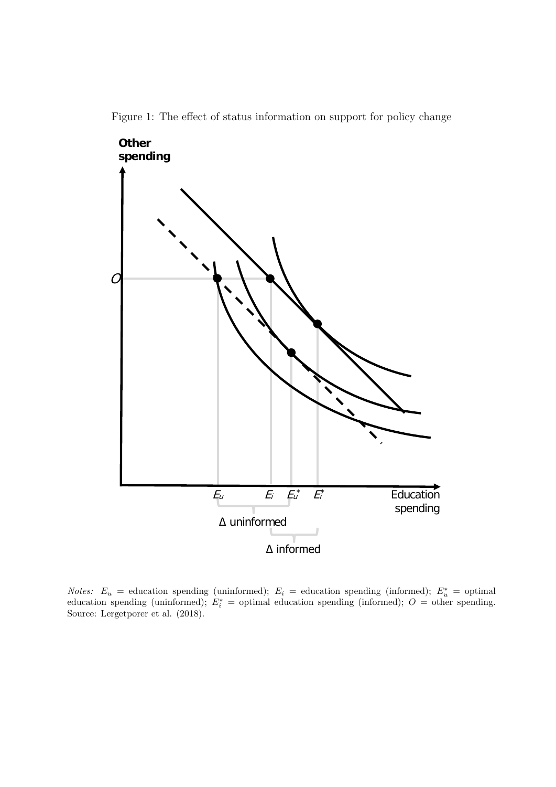

Figure 1: The effect of status information on support for policy change

Notes:  $E_u$  = education spending (uninformed);  $E_i$  = education spending (informed);  $E_u^*$  = optimal education spending (uninformed);  $E_i^*$  = optimal education spending (informed);  $O =$  other spending. Source: Lergetporer et al. (2018).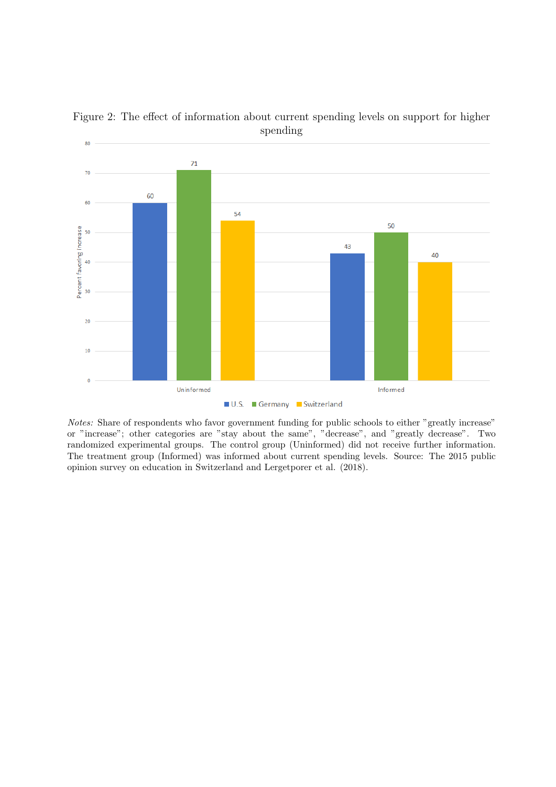

Figure 2: The effect of information about current spending levels on support for higher spending

Notes: Share of respondents who favor government funding for public schools to either "greatly increase" or "increase"; other categories are "stay about the same", "decrease", and "greatly decrease". Two randomized experimental groups. The control group (Uninformed) did not receive further information. The treatment group (Informed) was informed about current spending levels. Source: The 2015 public opinion survey on education in Switzerland and Lergetporer et al. (2018).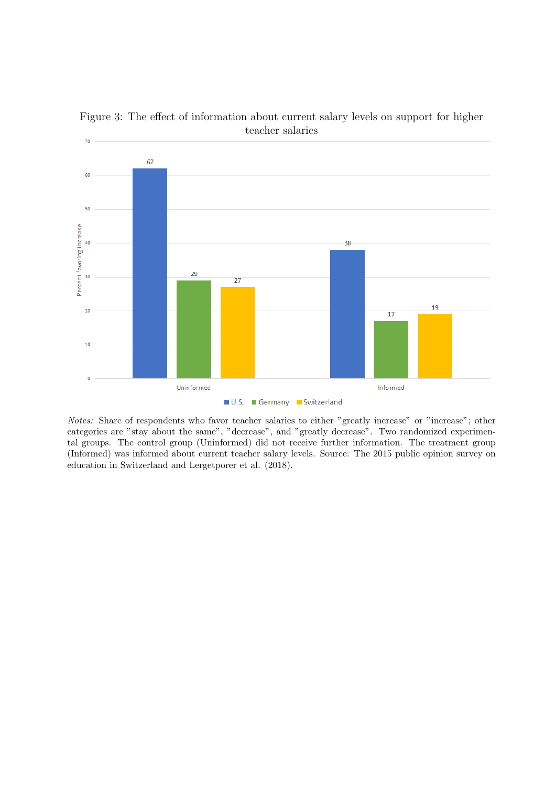

Figure 3: The effect of information about current salary levels on support for higher teacher salaries

Notes: Share of respondents who favor teacher salaries to either "greatly increase" or "increase"; other categories are "stay about the same", "decrease", and "greatly decrease". Two randomized experimental groups. The control group (Uninformed) did not receive further information. The treatment group (Informed) was informed about current teacher salary levels. Source: The 2015 public opinion survey on education in Switzerland and Lergetporer et al. (2018).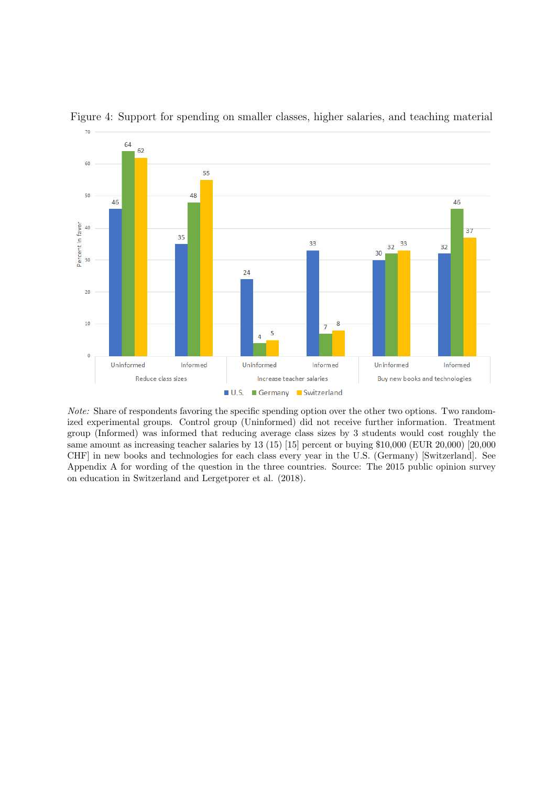

Figure 4: Support for spending on smaller classes, higher salaries, and teaching material

Note: Share of respondents favoring the specific spending option over the other two options. Two randomized experimental groups. Control group (Uninformed) did not receive further information. Treatment group (Informed) was informed that reducing average class sizes by 3 students would cost roughly the same amount as increasing teacher salaries by 13 (15) [15] percent or buying \$10,000 (EUR 20,000) [20,000] CHF] in new books and technologies for each class every year in the U.S. (Germany) [Switzerland]. See Appendix A for wording of the question in the three countries. Source: The 2015 public opinion survey on education in Switzerland and Lergetporer et al. (2018).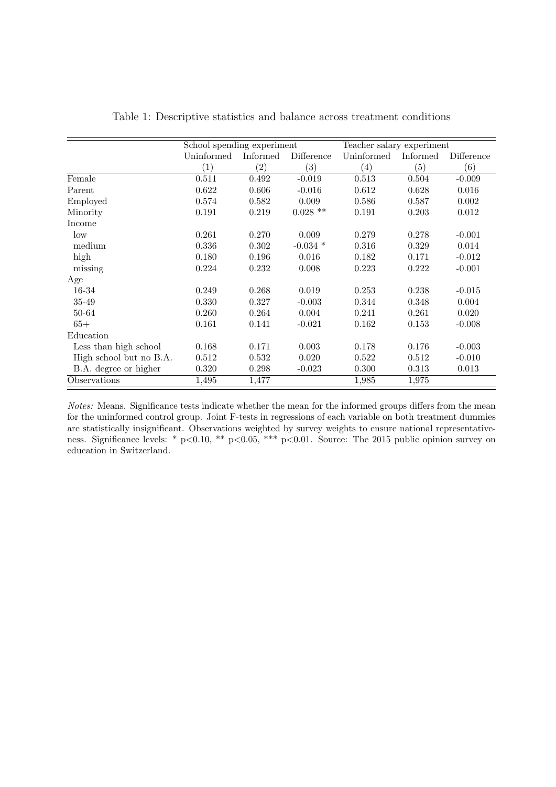|                         | School spending experiment |                   |            | Teacher salary experiment |          |            |
|-------------------------|----------------------------|-------------------|------------|---------------------------|----------|------------|
|                         | Uninformed                 | Informed          | Difference | Uninformed                | Informed | Difference |
|                         | $\left( 1\right)$          | $\left( 2\right)$ | (3)        | $\left( 4\right)$         | (5)      | (6)        |
| Female                  | 0.511                      | 0.492             | $-0.019$   | 0.513                     | 0.504    | $-0.009$   |
| Parent                  | 0.622                      | 0.606             | $-0.016$   | 0.612                     | 0.628    | 0.016      |
| Employed                | 0.574                      | 0.582             | 0.009      | 0.586                     | 0.587    | 0.002      |
| Minority                | 0.191                      | 0.219             | $0.028$ ** | 0.191                     | 0.203    | 0.012      |
| Income                  |                            |                   |            |                           |          |            |
| low                     | 0.261                      | 0.270             | 0.009      | 0.279                     | 0.278    | $-0.001$   |
| medium                  | 0.336                      | 0.302             | $-0.034$ * | 0.316                     | 0.329    | 0.014      |
| high                    | 0.180                      | 0.196             | 0.016      | 0.182                     | 0.171    | $-0.012$   |
| missing                 | 0.224                      | 0.232             | 0.008      | 0.223                     | 0.222    | $-0.001$   |
| Age                     |                            |                   |            |                           |          |            |
| 16-34                   | 0.249                      | 0.268             | 0.019      | 0.253                     | 0.238    | $-0.015$   |
| 35-49                   | 0.330                      | 0.327             | $-0.003$   | 0.344                     | 0.348    | 0.004      |
| 50-64                   | 0.260                      | 0.264             | 0.004      | 0.241                     | 0.261    | 0.020      |
| $65+$                   | 0.161                      | 0.141             | $-0.021$   | 0.162                     | 0.153    | $-0.008$   |
| Education               |                            |                   |            |                           |          |            |
| Less than high school   | 0.168                      | 0.171             | 0.003      | 0.178                     | 0.176    | $-0.003$   |
| High school but no B.A. | 0.512                      | 0.532             | 0.020      | 0.522                     | 0.512    | $-0.010$   |
| B.A. degree or higher   | 0.320                      | 0.298             | $-0.023$   | 0.300                     | 0.313    | 0.013      |
| Observations            | 1,495                      | 1,477             |            | 1,985                     | 1,975    |            |

| Table 1: Descriptive statistics and balance across treatment conditions |  |  |  |
|-------------------------------------------------------------------------|--|--|--|
|-------------------------------------------------------------------------|--|--|--|

Notes: Means. Significance tests indicate whether the mean for the informed groups differs from the mean for the uninformed control group. Joint F-tests in regressions of each variable on both treatment dummies are statistically insignificant. Observations weighted by survey weights to ensure national representativeness. Significance levels: \* p<0.10, \*\* p<0.05, \*\*\* p<0.01. Source: The 2015 public opinion survey on education in Switzerland.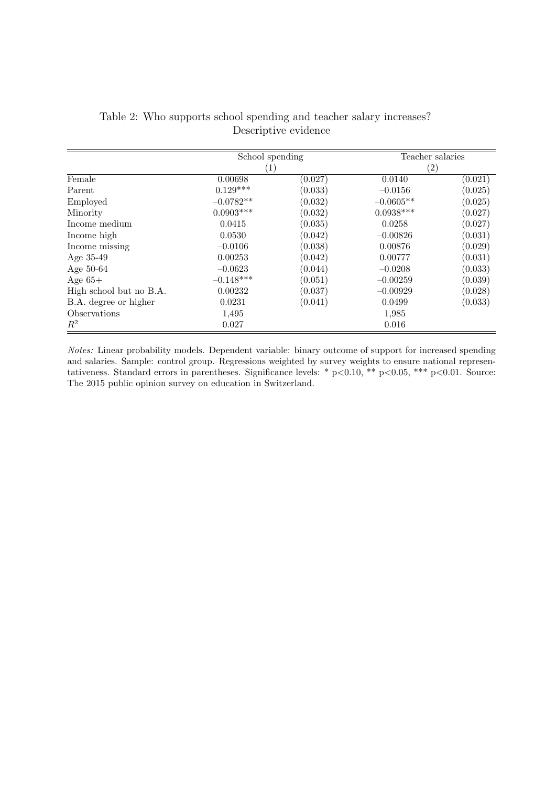|                         | School spending  |         | Teacher salaries  |         |  |
|-------------------------|------------------|---------|-------------------|---------|--|
|                         | $\left[1\right]$ |         | $\left( 2\right)$ |         |  |
| Female                  | 0.00698          | (0.027) | 0.0140            | (0.021) |  |
| Parent                  | $0.129***$       | (0.033) | $-0.0156$         | (0.025) |  |
| Employed                | $-0.0782**$      | (0.032) | $-0.0605**$       | (0.025) |  |
| Minority                | $0.0903***$      | (0.032) | $0.0938***$       | (0.027) |  |
| Income medium           | 0.0415           | (0.035) | 0.0258            | (0.027) |  |
| Income high             | 0.0530           | (0.042) | $-0.00826$        | (0.031) |  |
| Income missing          | $-0.0106$        | (0.038) | 0.00876           | (0.029) |  |
| Age $35-49$             | 0.00253          | (0.042) | 0.00777           | (0.031) |  |
| Age 50-64               | $-0.0623$        | (0.044) | $-0.0208$         | (0.033) |  |
| Age $65+$               | $-0.148***$      | (0.051) | $-0.00259$        | (0.039) |  |
| High school but no B.A. | 0.00232          | (0.037) | $-0.00929$        | (0.028) |  |
| B.A. degree or higher   | 0.0231           | (0.041) | 0.0499            | (0.033) |  |
| Observations            | 1,495            |         | 1,985             |         |  |
| $\,R^2$                 | 0.027            |         | 0.016             |         |  |

Table 2: Who supports school spending and teacher salary increases? Descriptive evidence

Notes: Linear probability models. Dependent variable: binary outcome of support for increased spending and salaries. Sample: control group. Regressions weighted by survey weights to ensure national representativeness. Standard errors in parentheses. Significance levels: \* p<0.10, \*\* p<0.05, \*\*\* p<0.01. Source: The 2015 public opinion survey on education in Switzerland.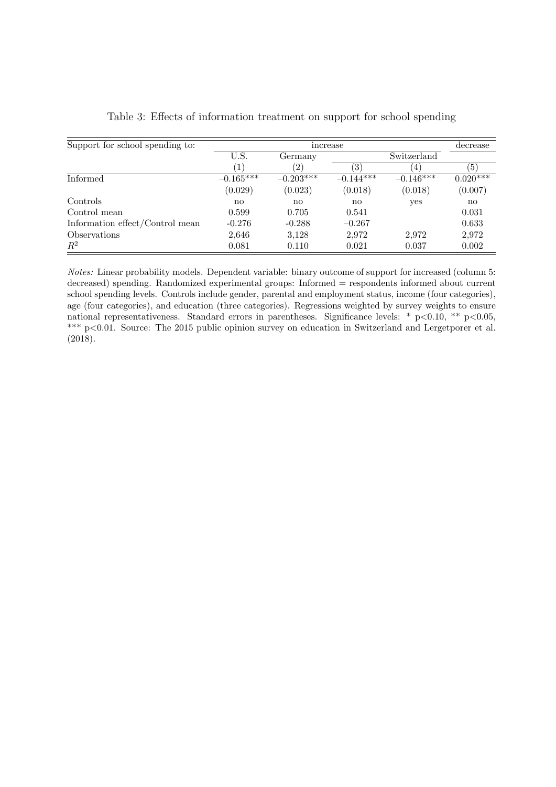| Support for school spending to: |               | decrease          |             |                |                       |
|---------------------------------|---------------|-------------------|-------------|----------------|-----------------------|
|                                 | U.S.          | Germany           |             | Switzerland    |                       |
|                                 |               | $\left( 2\right)$ | (3)         | $\overline{4}$ | (5)                   |
| Informed                        | $-0.165***$   | $-0.203***$       | $-0.144***$ | $-0.146***$    | $0.02\overline{0***}$ |
|                                 | (0.029)       | (0.023)           | (0.018)     | (0.018)        | (0.007)               |
| Controls                        | $\mathbf{no}$ | $\mathbf{no}$     | no          | yes            | $\mathbf{n}$          |
| Control mean                    | 0.599         | 0.705             | 0.541       |                | 0.031                 |
| Information effect/Control mean | $-0.276$      | $-0.288$          | $-0.267$    |                | 0.633                 |
| Observations                    | 2,646         | 3,128             | 2,972       | 2.972          | 2,972                 |
| $R^2$                           | 0.081         | 0.110             | 0.021       | 0.037          | 0.002                 |

Notes: Linear probability models. Dependent variable: binary outcome of support for increased (column 5: decreased) spending. Randomized experimental groups: Informed = respondents informed about current school spending levels. Controls include gender, parental and employment status, income (four categories), age (four categories), and education (three categories). Regressions weighted by survey weights to ensure national representativeness. Standard errors in parentheses. Significance levels: \* p<0.10, \*\* p<0.05, \*\*\* p<0.01. Source: The 2015 public opinion survey on education in Switzerland and Lergetporer et al. (2018).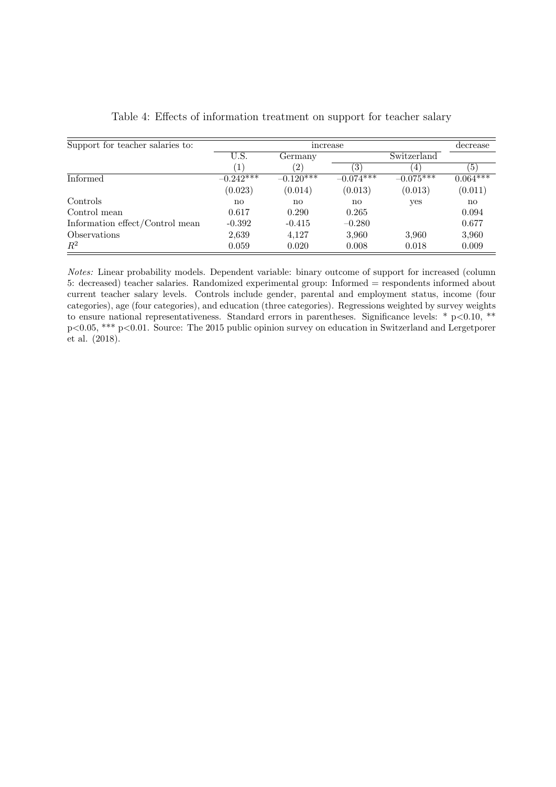| Support for teacher salaries to: |                        | decrease          |              |             |                  |
|----------------------------------|------------------------|-------------------|--------------|-------------|------------------|
|                                  | U.S.                   | Germany           |              | Switzerland |                  |
|                                  | $\left  \right $       | $\left( 2\right)$ | (3)          | $\pm$       | $\left(5\right)$ |
| <b>Informed</b>                  | $-0.242***$            | $-0.120***$       | $-0.074***$  | $-0.075***$ | $0.064***$       |
|                                  | (0.023)                | (0.014)           | (0.013)      | (0.013)     | (0.011)          |
| Controls                         | $\mathbf{n}\mathbf{o}$ | no                | $\mathbf{n}$ | yes         | $\mathbf{n}$     |
| Control mean                     | 0.617                  | 0.290             | 0.265        |             | 0.094            |
| Information effect/Control mean  | $-0.392$               | $-0.415$          | $-0.280$     |             | 0.677            |
| <i><b>Observations</b></i>       | 2,639                  | 4,127             | 3,960        | 3.960       | 3,960            |
| $R^2$                            | 0.059                  | 0.020             | 0.008        | 0.018       | 0.009            |

|  | Table 4: Effects of information treatment on support for teacher salary |  |  |  |
|--|-------------------------------------------------------------------------|--|--|--|
|  |                                                                         |  |  |  |

Notes: Linear probability models. Dependent variable: binary outcome of support for increased (column 5: decreased) teacher salaries. Randomized experimental group: Informed = respondents informed about current teacher salary levels. Controls include gender, parental and employment status, income (four categories), age (four categories), and education (three categories). Regressions weighted by survey weights to ensure national representativeness. Standard errors in parentheses. Significance levels: \*  $p < 0.10$ , \*\* p<0.05, \*\*\* p<0.01. Source: The 2015 public opinion survey on education in Switzerland and Lergetporer et al. (2018).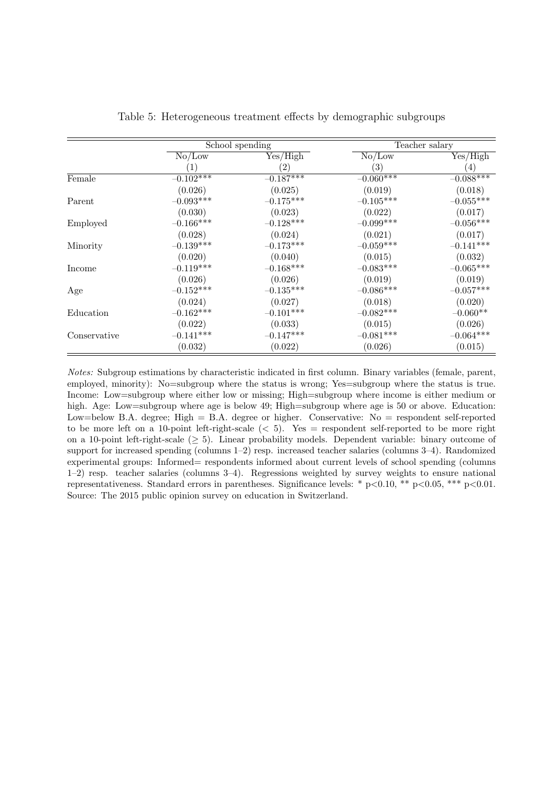|              |             | School spending   |                   | Teacher salary   |
|--------------|-------------|-------------------|-------------------|------------------|
|              | No/Low      | Yes/High          | No/Low            | Yes/High         |
|              |             | $\left( 2\right)$ | $\left( 3\right)$ | $\left(4\right)$ |
| Female       | $-0.102***$ | $-0.187***$       | $-0.060***$       | $-0.088***$      |
|              | (0.026)     | (0.025)           | (0.019)           | (0.018)          |
| Parent       | $-0.093***$ | $-0.175***$       | $-0.105***$       | $-0.055***$      |
|              | (0.030)     | (0.023)           | (0.022)           | (0.017)          |
| Employed     | $-0.166***$ | $-0.128***$       | $-0.099***$       | $-0.056***$      |
|              | (0.028)     | (0.024)           | (0.021)           | (0.017)          |
| Minority     | $-0.139***$ | $-0.173***$       | $-0.059***$       | $-0.141***$      |
|              | (0.020)     | (0.040)           | (0.015)           | (0.032)          |
| Income       | $-0.119***$ | $-0.168***$       | $-0.083***$       | $-0.065***$      |
|              | (0.026)     | (0.026)           | (0.019)           | (0.019)          |
| Age          | $-0.152***$ | $-0.135***$       | $-0.086***$       | $-0.057***$      |
|              | (0.024)     | (0.027)           | (0.018)           | (0.020)          |
| Education    | $-0.162***$ | $-0.101***$       | $-0.082***$       | $-0.060**$       |
|              | (0.022)     | (0.033)           | (0.015)           | (0.026)          |
| Conservative | $-0.141***$ | $-0.147***$       | $-0.081***$       | $-0.064***$      |
|              | (0.032)     | (0.022)           | (0.026)           | (0.015)          |

|  | Table 5: Heterogeneous treatment effects by demographic subgroups |  |  |  |
|--|-------------------------------------------------------------------|--|--|--|
|  |                                                                   |  |  |  |

Notes: Subgroup estimations by characteristic indicated in first column. Binary variables (female, parent, employed, minority): No=subgroup where the status is wrong; Yes=subgroup where the status is true. Income: Low=subgroup where either low or missing; High=subgroup where income is either medium or high. Age: Low=subgroup where age is below 49; High=subgroup where age is 50 or above. Education: Low=below B.A. degree; High  $=$  B.A. degree or higher. Conservative: No  $=$  respondent self-reported to be more left on a 10-point left-right-scale  $(< 5)$ . Yes = respondent self-reported to be more right on a 10-point left-right-scale  $(\geq 5)$ . Linear probability models. Dependent variable: binary outcome of support for increased spending (columns 1–2) resp. increased teacher salaries (columns 3–4). Randomized experimental groups: Informed= respondents informed about current levels of school spending (columns 1–2) resp. teacher salaries (columns 3–4). Regressions weighted by survey weights to ensure national representativeness. Standard errors in parentheses. Significance levels: \*  $p<0.10$ , \*\*  $p<0.05$ , \*\*\*  $p<0.01$ . Source: The 2015 public opinion survey on education in Switzerland.